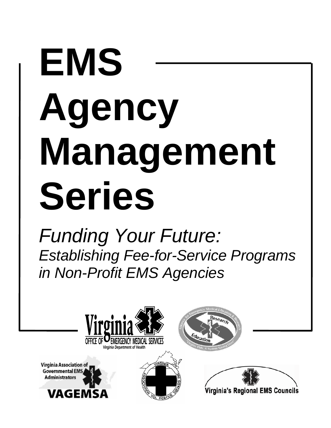# **EMS Agency Management Series**

*Funding Your Future: Establishing Fee-for-Service Programs in Non-Profit EMS Agencies*

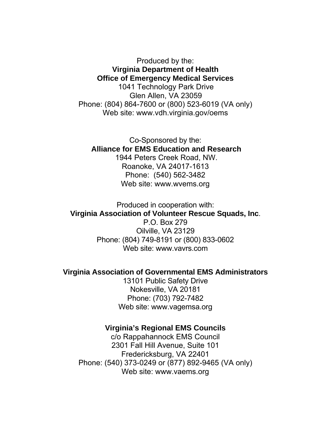Produced by the: **Virginia Department of Health Office of Emergency Medical Services**  1041 Technology Park Drive Glen Allen, VA 23059 Phone: (804) 864-7600 or (800) 523-6019 (VA only) Web site: www.vdh.virginia.gov/oems

Co-Sponsored by the: **Alliance for EMS Education and Research**  1944 Peters Creek Road, NW. Roanoke, VA 24017-1613 Phone: (540) 562-3482 Web site: www.wvems.org

Produced in cooperation with: **Virginia Association of Volunteer Rescue Squads, Inc**.

P.O. Box 279 Oilville, VA 23129 Phone: (804) 749-8191 or (800) 833-0602 Web site: www.vavrs.com

#### **Virginia Association of Governmental EMS Administrators**

13101 Public Safety Drive Nokesville, VA 20181 Phone: (703) 792-7482 Web site: www.vagemsa.org

#### **Virginia's Regional EMS Councils**

c/o Rappahannock EMS Council 2301 Fall Hill Avenue, Suite 101 Fredericksburg, VA 22401 Phone: (540) 373-0249 or (877) 892-9465 (VA only) Web site: www.vaems.org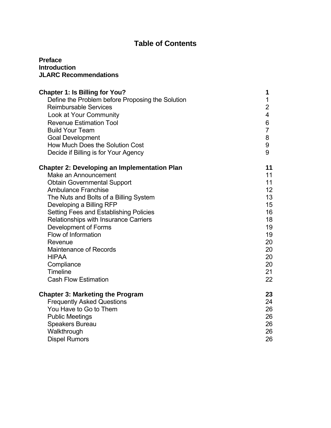#### **Table of Contents**

#### **Preface Introduction JLARC Recommendations**

| <b>Chapter 1: Is Billing for You?</b><br>Define the Problem before Proposing the Solution<br><b>Reimbursable Services</b> | 1<br>1<br>$\overline{2}$ |
|---------------------------------------------------------------------------------------------------------------------------|--------------------------|
| Look at Your Community                                                                                                    | 4                        |
| <b>Revenue Estimation Tool</b>                                                                                            | 6                        |
| <b>Build Your Team</b>                                                                                                    | $\overline{7}$           |
| <b>Goal Development</b>                                                                                                   | 8                        |
| How Much Does the Solution Cost                                                                                           | 9                        |
| Decide if Billing is for Your Agency                                                                                      | 9                        |
| <b>Chapter 2: Developing an Implementation Plan</b>                                                                       | 11                       |
| Make an Announcement                                                                                                      | 11                       |
| <b>Obtain Governmental Support</b>                                                                                        | 11                       |
| <b>Ambulance Franchise</b>                                                                                                | 12 <sub>2</sub>          |
| The Nuts and Bolts of a Billing System                                                                                    | 13                       |
| Developing a Billing RFP                                                                                                  | 15                       |
| Setting Fees and Establishing Policies                                                                                    | 16                       |
| Relationships with Insurance Carriers                                                                                     | 18                       |
| Development of Forms                                                                                                      | 19                       |
| Flow of Information                                                                                                       | 19                       |
| Revenue                                                                                                                   | 20                       |
| <b>Maintenance of Records</b>                                                                                             | 20                       |
| <b>HIPAA</b>                                                                                                              | 20                       |
| Compliance                                                                                                                | 20                       |
| <b>Timeline</b>                                                                                                           | 21                       |
| <b>Cash Flow Estimation</b>                                                                                               | 22                       |
| <b>Chapter 3: Marketing the Program</b>                                                                                   | 23                       |
| <b>Frequently Asked Questions</b>                                                                                         | 24                       |
| You Have to Go to Them                                                                                                    | 26                       |
| <b>Public Meetings</b>                                                                                                    | 26                       |
| Speakers Bureau                                                                                                           | 26                       |
| Walkthrough                                                                                                               | 26                       |
| <b>Dispel Rumors</b>                                                                                                      | 26                       |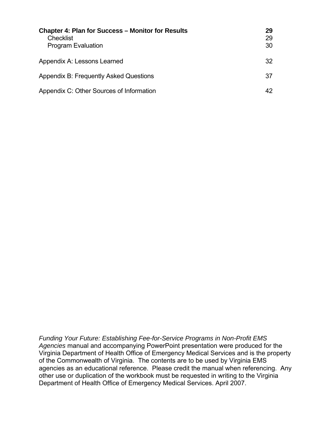| <b>Chapter 4: Plan for Success - Monitor for Results</b><br><b>Checklist</b><br><b>Program Evaluation</b> | 29<br>29<br>30 |
|-----------------------------------------------------------------------------------------------------------|----------------|
| Appendix A: Lessons Learned                                                                               | 32             |
| Appendix B: Frequently Asked Questions                                                                    | 37             |
| Appendix C: Other Sources of Information                                                                  | 42             |

*Funding Your Future: Establishing Fee-for-Service Programs in Non-Profit EMS Agencies* manual and accompanying PowerPoint presentation were produced for the Virginia Department of Health Office of Emergency Medical Services and is the property of the Commonwealth of Virginia. The contents are to be used by Virginia EMS agencies as an educational reference. Please credit the manual when referencing. Any other use or duplication of the workbook must be requested in writing to the Virginia Department of Health Office of Emergency Medical Services. April 2007.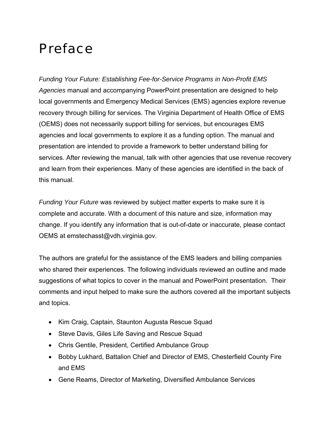## Preface

*Funding Your Future: Establishing Fee-for-Service Programs in Non-Profit EMS Agencies* manual and accompanying PowerPoint presentation are designed to help local governments and Emergency Medical Services (EMS) agencies explore revenue recovery through billing for services. The Virginia Department of Health Office of EMS (OEMS) does not necessarily support billing for services, but encourages EMS agencies and local governments to explore it as a funding option. The manual and presentation are intended to provide a framework to better understand billing for services. After reviewing the manual, talk with other agencies that use revenue recovery and learn from their experiences. Many of these agencies are identified in the back of this manual.

*Funding Your Future* was reviewed by subject matter experts to make sure it is complete and accurate. With a document of this nature and size, information may change. If you identify any information that is out-of-date or inaccurate, please contact OEMS at emstechasst@vdh.virginia.gov.

The authors are grateful for the assistance of the EMS leaders and billing companies who shared their experiences. The following individuals reviewed an outline and made suggestions of what topics to cover in the manual and PowerPoint presentation. Their comments and input helped to make sure the authors covered all the important subjects and topics.

- Kim Craig, Captain, Staunton Augusta Rescue Squad
- Steve Davis, Giles Life Saving and Rescue Squad
- Chris Gentile, President, Certified Ambulance Group
- Bobby Lukhard, Battalion Chief and Director of EMS, Chesterfield County Fire and EMS
- Gene Reams, Director of Marketing, Diversified Ambulance Services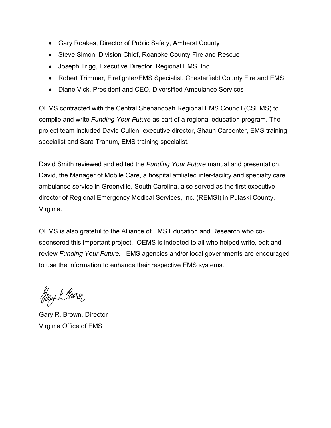- Gary Roakes, Director of Public Safety, Amherst County
- Steve Simon, Division Chief, Roanoke County Fire and Rescue
- Joseph Trigg, Executive Director, Regional EMS, Inc.
- Robert Trimmer, Firefighter/EMS Specialist, Chesterfield County Fire and EMS
- Diane Vick, President and CEO, Diversified Ambulance Services

OEMS contracted with the Central Shenandoah Regional EMS Council (CSEMS) to compile and write *Funding Your Future* as part of a regional education program. The project team included David Cullen, executive director, Shaun Carpenter, EMS training specialist and Sara Tranum, EMS training specialist.

David Smith reviewed and edited the *Funding Your Future* manual and presentation. David, the Manager of Mobile Care, a hospital affiliated inter-facility and specialty care ambulance service in Greenville, South Carolina, also served as the first executive director of Regional Emergency Medical Services, Inc. (REMSI) in Pulaski County, Virginia.

OEMS is also grateful to the Alliance of EMS Education and Research who cosponsored this important project. OEMS is indebted to all who helped write, edit and review *Funding Your Future.* EMS agencies and/or local governments are encouraged to use the information to enhance their respective EMS systems.

Hary & Brown

Gary R. Brown, Director Virginia Office of EMS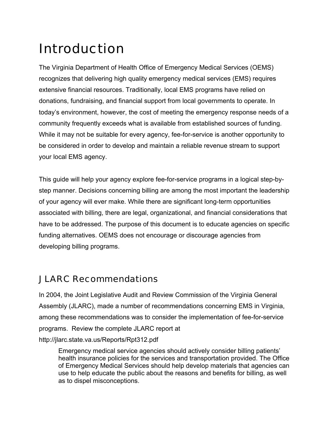# Introduction

The Virginia Department of Health Office of Emergency Medical Services (OEMS) recognizes that delivering high quality emergency medical services (EMS) requires extensive financial resources. Traditionally, local EMS programs have relied on donations, fundraising, and financial support from local governments to operate. In today's environment, however, the cost of meeting the emergency response needs of a community frequently exceeds what is available from established sources of funding. While it may not be suitable for every agency, fee-for-service is another opportunity to be considered in order to develop and maintain a reliable revenue stream to support your local EMS agency.

This guide will help your agency explore fee-for-service programs in a logical step-bystep manner. Decisions concerning billing are among the most important the leadership of your agency will ever make. While there are significant long-term opportunities associated with billing, there are legal, organizational, and financial considerations that have to be addressed. The purpose of this document is to educate agencies on specific funding alternatives. OEMS does not encourage or discourage agencies from developing billing programs.

## JLARC Recommendations

In 2004, the Joint Legislative Audit and Review Commission of the Virginia General Assembly (JLARC), made a number of recommendations concerning EMS in Virginia, among these recommendations was to consider the implementation of fee-for-service programs. Review the complete JLARC report at http://jlarc.state.va.us/Reports/Rpt312.pdf

Emergency medical service agencies should actively consider billing patients' health insurance policies for the services and transportation provided. The Office of Emergency Medical Services should help develop materials that agencies can use to help educate the public about the reasons and benefits for billing, as well as to dispel misconceptions.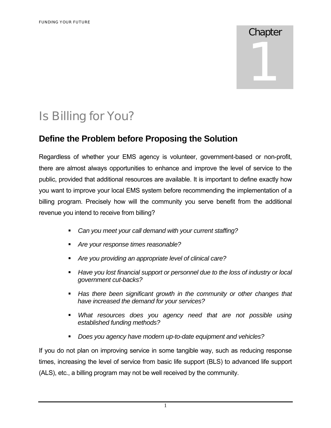## Chapter

1

# Is Billing for You?

## **Define the Problem before Proposing the Solution**

Regardless of whether your EMS agency is volunteer, government-based or non-profit, there are almost always opportunities to enhance and improve the level of service to the public, provided that additional resources are available. It is important to define exactly how you want to improve your local EMS system before recommending the implementation of a billing program. Precisely how will the community you serve benefit from the additional revenue you intend to receive from billing?

- *Can you meet your call demand with your current staffing?*
- *Are your response times reasonable?*
- *Are you providing an appropriate level of clinical care?*
- *Have you lost financial support or personnel due to the loss of industry or local government cut-backs?*
- *Has there been significant growth in the community or other changes that have increased the demand for your services?*
- *What resources does you agency need that are not possible using established funding methods?*
- *Does you agency have modern up-to-date equipment and vehicles?*

If you do not plan on improving service in some tangible way, such as reducing response times, increasing the level of service from basic life support (BLS) to advanced life support (ALS), etc., a billing program may not be well received by the community.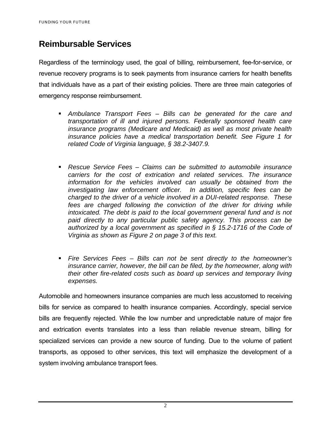## **Reimbursable Services**

Regardless of the terminology used, the goal of billing, reimbursement, fee-for-service, or revenue recovery programs is to seek payments from insurance carriers for health benefits that individuals have as a part of their existing policies. There are three main categories of emergency response reimbursement.

- *Ambulance Transport Fees Bills can be generated for the care and transportation of ill and injured persons. Federally sponsored health care insurance programs (Medicare and Medicaid) as well as most private health insurance policies have a medical transportation benefit. See Figure 1 for related Code of Virginia language, § 38.2-3407.9.*
- *Rescue Service Fees Claims can be submitted to automobile insurance carriers for the cost of extrication and related services. The insurance information for the vehicles involved can usually be obtained from the investigating law enforcement officer. In addition, specific fees can be charged to the driver of a vehicle involved in a DUI-related response. These*  fees are charged following the conviction of the driver for driving while *intoxicated. The debt is paid to the local government general fund and is not paid directly to any particular public safety agency. This process can be authorized by a local government as specified in § 15.2-1716 of the Code of Virginia as shown as Figure 2 on page 3 of this text.*
- *Fire Services Fees Bills can not be sent directly to the homeowner's insurance carrier, however, the bill can be filed, by the homeowner, along with their other fire-related costs such as board up services and temporary living expenses.*

Automobile and homeowners insurance companies are much less accustomed to receiving bills for service as compared to health insurance companies. Accordingly, special service bills are frequently rejected. While the low number and unpredictable nature of major fire and extrication events translates into a less than reliable revenue stream, billing for specialized services can provide a new source of funding. Due to the volume of patient transports, as opposed to other services, this text will emphasize the development of a system involving ambulance transport fees.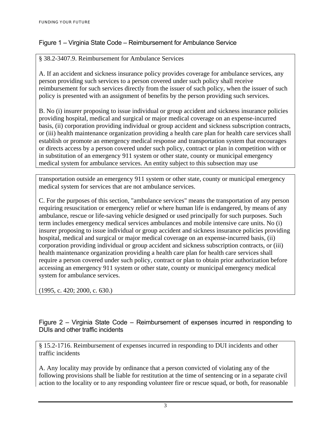#### Figure 1 – Virginia State Code – Reimbursement for Ambulance Service

#### § 38.2-3407.9. Reimbursement for Ambulance Services

A. If an accident and sickness insurance policy provides coverage for ambulance services, any person providing such services to a person covered under such policy shall receive reimbursement for such services directly from the issuer of such policy, when the issuer of such policy is presented with an assignment of benefits by the person providing such services.

B. No (i) insurer proposing to issue individual or group accident and sickness insurance policies providing hospital, medical and surgical or major medical coverage on an expense-incurred basis, (ii) corporation providing individual or group accident and sickness subscription contracts, or (iii) health maintenance organization providing a health care plan for health care services shall establish or promote an emergency medical response and transportation system that encourages or directs access by a person covered under such policy, contract or plan in competition with or in substitution of an emergency 911 system or other state, county or municipal emergency medical system for ambulance services. An entity subject to this subsection may use

transportation outside an emergency 911 system or other state, county or municipal emergency medical system for services that are not ambulance services.

C. For the purposes of this section, "ambulance services" means the transportation of any person requiring resuscitation or emergency relief or where human life is endangered, by means of any ambulance, rescue or life-saving vehicle designed or used principally for such purposes. Such term includes emergency medical services ambulances and mobile intensive care units. No (i) insurer proposing to issue individual or group accident and sickness insurance policies providing hospital, medical and surgical or major medical coverage on an expense-incurred basis, (ii) corporation providing individual or group accident and sickness subscription contracts, or (iii) health maintenance organization providing a health care plan for health care services shall require a person covered under such policy, contract or plan to obtain prior authorization before accessing an emergency 911 system or other state, county or municipal emergency medical system for ambulance services.

(1995, c. 420; 2000, c. 630.)

Figure 2 – Virginia State Code – Reimbursement of expenses incurred in responding to DUIs and other traffic incidents

§ 15.2-1716. Reimbursement of expenses incurred in responding to DUI incidents and other traffic incidents

A. Any locality may provide by ordinance that a person convicted of violating any of the following provisions shall be liable for restitution at the time of sentencing or in a separate civil action to the locality or to any responding volunteer fire or rescue squad, or both, for reasonable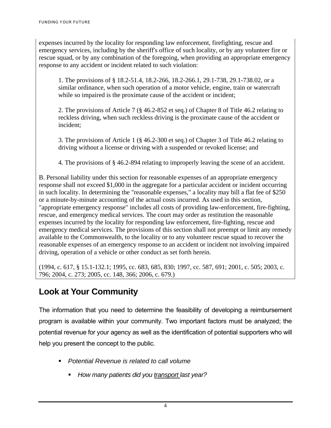expenses incurred by the locality for responding law enforcement, firefighting, rescue and emergency services, including by the sheriff's office of such locality, or by any volunteer fire or rescue squad, or by any combination of the foregoing, when providing an appropriate emergency response to any accident or incident related to such violation:

 1. The provisions of § 18.2-51.4, 18.2-266, 18.2-266.1, 29.1-738, 29.1-738.02, or a similar ordinance, when such operation of a motor vehicle, engine, train or watercraft while so impaired is the proximate cause of the accident or incident;

 2. The provisions of Article 7 (§ 46.2-852 et seq.) of Chapter 8 of Title 46.2 relating to reckless driving, when such reckless driving is the proximate cause of the accident or incident;

 3. The provisions of Article 1 (§ 46.2-300 et seq.) of Chapter 3 of Title 46.2 relating to driving without a license or driving with a suspended or revoked license; and

4. The provisions of § 46.2-894 relating to improperly leaving the scene of an accident.

B. Personal liability under this section for reasonable expenses of an appropriate emergency response shall not exceed \$1,000 in the aggregate for a particular accident or incident occurring in such locality. In determining the "reasonable expenses," a locality may bill a flat fee of \$250 or a minute-by-minute accounting of the actual costs incurred. As used in this section, "appropriate emergency response" includes all costs of providing law-enforcement, fire-fighting, rescue, and emergency medical services. The court may order as restitution the reasonable expenses incurred by the locality for responding law enforcement, fire-fighting, rescue and emergency medical services. The provisions of this section shall not preempt or limit any remedy available to the Commonwealth, to the locality or to any volunteer rescue squad to recover the reasonable expenses of an emergency response to an accident or incident not involving impaired driving, operation of a vehicle or other conduct as set forth herein.

(1994, c. 617, § 15.1-132.1; 1995, cc. 683, 685, 830; 1997, cc. 587, 691; 2001, c. 505; 2003, c. 796; 2004, c. 273; 2005, cc. 148, 366; 2006, c. 679.)

## **Look at Your Community**

The information that you need to determine the feasibility of developing a reimbursement program is available within your community. Two important factors must be analyzed; the potential revenue for your agency as well as the identification of potential supporters who will help you present the concept to the public.

- *Potential Revenue is related to call volume* 
	- *How many patients did you transport last year?*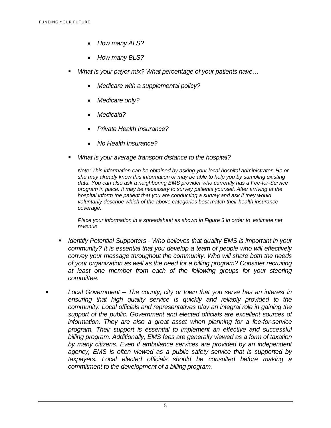- *How many ALS?*
- *How many BLS?*
- *What is your payor mix? What percentage of your patients have…* 
	- *Medicare with a supplemental policy?*
	- *Medicare only?*
	- *Medicaid?*
	- *Private Health Insurance?*
	- *No Health Insurance?*
- *What is your average transport distance to the hospital?*

 *Note: This information can be obtained by asking your local hospital administrator. He or she may already know this information or may be able to help you by sampling existing data. You can also ask a neighboring EMS provider who currently has a Fee-for-Service program in place. It may be necessary to survey patients yourself. After arriving at the hospital inform the patient that you are conducting a survey and ask if they would voluntarily describe which of the above categories best match their health insurance coverage.* 

*Place your information in a spreadsheet as shown in Figure 3 in order to estimate net revenue.* 

- *Identify Potential Supporters Who believes that quality EMS is important in your community? It is essential that you develop a team of people who will effectively convey your message throughout the community. Who will share both the needs of your organization as well as the need for a billing program? Consider recruiting at least one member from each of the following groups for your steering committee.*
- *Local Government The county, city or town that you serve has an interest in ensuring that high quality service is quickly and reliably provided to the community. Local officials and representatives play an integral role in gaining the support of the public. Government and elected officials are excellent sources of information. They are also a great asset when planning for a fee-for-service program. Their support is essential to implement an effective and successful billing program. Additionally, EMS fees are generally viewed as a form of taxation by many citizens. Even if ambulance services are provided by an independent agency, EMS is often viewed as a public safety service that is supported by taxpayers. Local elected officials should be consulted before making a commitment to the development of a billing program.*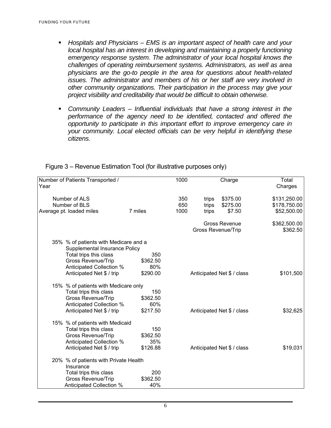- *Hospitals and Physicians EMS is an important aspect of health care and your local hospital has an interest in developing and maintaining a properly functioning emergency response system. The administrator of your local hospital knows the challenges of operating reimbursement systems. Administrators, as well as area physicians are the go-to people in the area for questions about health-related issues. The administrator and members of his or her staff are very involved in other community organizations. Their participation in the process may give your project visibility and creditability that would be difficult to obtain otherwise.*
- *Community Leaders Influential individuals that have a strong interest in the performance of the agency need to be identified, contacted and offered the opportunity to participate in this important effort to improve emergency care in your community. Local elected officials can be very helpful in identifying these citizens.*

| Year | Number of Patients Transported /                                                                                                                |                                    | 1000               |                         | Charge                                     | Total<br>Charges                            |
|------|-------------------------------------------------------------------------------------------------------------------------------------------------|------------------------------------|--------------------|-------------------------|--------------------------------------------|---------------------------------------------|
|      | Number of ALS<br>Number of BLS<br>Average pt. loaded miles                                                                                      | 7 miles                            | 350<br>650<br>1000 | trips<br>trips<br>trips | \$375.00<br>\$275.00<br>\$7.50             | \$131,250.00<br>\$178,750.00<br>\$52,500.00 |
|      |                                                                                                                                                 |                                    |                    |                         |                                            |                                             |
|      |                                                                                                                                                 |                                    |                    |                         | Gross Revenue<br><b>Gross Revenue/Trip</b> | \$362,500.00<br>\$362.50                    |
|      | 35% % of patients with Medicare and a<br>Supplemental Insurance Policy                                                                          |                                    |                    |                         |                                            |                                             |
|      | Total trips this class<br><b>Gross Revenue/Trip</b><br>Anticipated Collection %                                                                 | 350<br>\$362.50<br>80%             |                    |                         |                                            |                                             |
|      | Anticipated Net \$ / trip                                                                                                                       | \$290.00                           |                    |                         | Anticipated Net \$ / class                 | \$101,500                                   |
|      | 15% % of patients with Medicare only<br>Total trips this class<br><b>Gross Revenue/Trip</b><br>Anticipated Collection %                         | 150<br>\$362.50<br>60%             |                    |                         |                                            |                                             |
|      | Anticipated Net \$ / trip                                                                                                                       | \$217.50                           |                    |                         | Anticipated Net \$ / class                 | \$32,625                                    |
|      | 15% % of patients with Medicaid<br>Total trips this class<br><b>Gross Revenue/Trip</b><br>Anticipated Collection %<br>Anticipated Net \$ / trip | 150<br>\$362.50<br>35%<br>\$126.88 |                    |                         | Anticipated Net \$ / class                 | \$19,031                                    |
|      |                                                                                                                                                 |                                    |                    |                         |                                            |                                             |
|      | 20% % of patients with Private Health<br>Insurance                                                                                              |                                    |                    |                         |                                            |                                             |
|      | Total trips this class<br><b>Gross Revenue/Trip</b><br>Anticipated Collection %                                                                 | 200<br>\$362.50<br>40%             |                    |                         |                                            |                                             |

Figure 3 – Revenue Estimation Tool (for illustrative purposes only)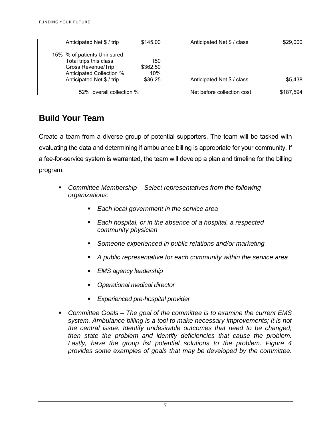| Anticipated Net \$ / trip      | \$145.00 | Anticipated Net \$ / class | \$29,000  |
|--------------------------------|----------|----------------------------|-----------|
| 15% % of patients Uninsured    |          |                            |           |
| Total trips this class         | 150      |                            |           |
| Gross Revenue/Trip<br>\$362.50 |          |                            |           |
| Anticipated Collection %       | 10%      |                            |           |
| Anticipated Net \$ / trip      | \$36.25  | Anticipated Net \$ / class | \$5,438   |
| 52% overall collection %       |          | Net before collection cost | \$187,594 |

## **Build Your Team**

Create a team from a diverse group of potential supporters. The team will be tasked with evaluating the data and determining if ambulance billing is appropriate for your community. If a fee-for-service system is warranted, the team will develop a plan and timeline for the billing program.

- *Committee Membership Select representatives from the following organizations:* 
	- *Each local government in the service area*
	- *Each hospital, or in the absence of a hospital, a respected community physician*
	- *Someone experienced in public relations and/or marketing*
	- *A public representative for each community within the service area*
	- *EMS agency leadership*
	- *Operational medical director*
	- *Experienced pre-hospital provider*
- *Committee Goals The goal of the committee is to examine the current EMS system. Ambulance billing is a tool to make necessary improvements; it is not the central issue. Identify undesirable outcomes that need to be changed, then state the problem and identify deficiencies that cause the problem.*  Lastly, have the group list potential solutions to the problem. Figure 4 *provides some examples of goals that may be developed by the committee.*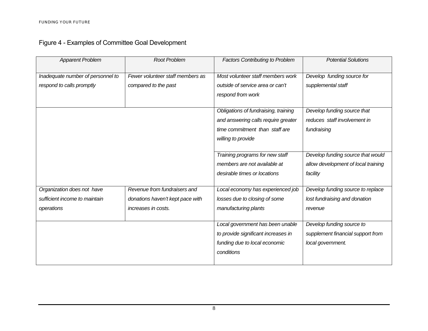|  | Figure 4 - Examples of Committee Goal Development |  |
|--|---------------------------------------------------|--|
|  |                                                   |  |

| <b>Apparent Problem</b>           | <b>Root Problem</b>              | <b>Factors Contributing to Problem</b> | <b>Potential Solutions</b>          |
|-----------------------------------|----------------------------------|----------------------------------------|-------------------------------------|
| Inadequate number of personnel to | Fewer volunteer staff members as | Most volunteer staff members work      | Develop funding source for          |
| respond to calls promptly         | compared to the past             | outside of service area or can't       | supplemental staff                  |
|                                   |                                  | respond from work                      |                                     |
|                                   |                                  |                                        |                                     |
|                                   |                                  | Obligations of fundraising, training   | Develop funding source that         |
|                                   |                                  | and answering calls require greater    | reduces staff involvement in        |
|                                   |                                  | time commitment than staff are         | fundraising                         |
|                                   |                                  | willing to provide                     |                                     |
|                                   |                                  |                                        |                                     |
|                                   |                                  | Training programs for new staff        | Develop funding source that would   |
|                                   |                                  | members are not available at           | allow development of local training |
|                                   |                                  | desirable times or locations           | facility                            |
|                                   |                                  |                                        |                                     |
| Organization does not have        | Revenue from fundraisers and     | Local economy has experienced job      | Develop funding source to replace   |
| sufficient income to maintain     | donations haven't kept pace with | losses due to closing of some          | lost fundraising and donation       |
| operations                        | increases in costs.              | manufacturing plants                   | revenue                             |
|                                   |                                  |                                        |                                     |
|                                   |                                  | Local government has been unable       | Develop funding source to           |
|                                   |                                  | to provide significant increases in    | supplement financial support from   |
|                                   |                                  | funding due to local economic          | local government.                   |
|                                   |                                  | conditions                             |                                     |
|                                   |                                  |                                        |                                     |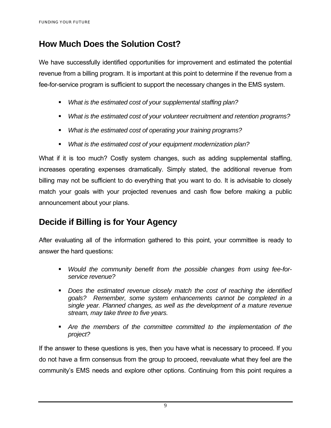## **How Much Does the Solution Cost?**

We have successfully identified opportunities for improvement and estimated the potential revenue from a billing program. It is important at this point to determine if the revenue from a fee-for-service program is sufficient to support the necessary changes in the EMS system.

- *What is the estimated cost of your supplemental staffing plan?*
- *What is the estimated cost of your volunteer recruitment and retention programs?*
- *What is the estimated cost of operating your training programs?*
- *What is the estimated cost of your equipment modernization plan?*

What if it is too much? Costly system changes, such as adding supplemental staffing, increases operating expenses dramatically. Simply stated, the additional revenue from billing may not be sufficient to do everything that you want to do. It is advisable to closely match your goals with your projected revenues and cash flow before making a public announcement about your plans.

## **Decide if Billing is for Your Agency**

After evaluating all of the information gathered to this point, your committee is ready to answer the hard questions:

- *Would the community benefit from the possible changes from using fee-forservice revenue?*
- **Does the estimated revenue closely match the cost of reaching the identified** *goals? Remember, some system enhancements cannot be completed in a single year. Planned changes, as well as the development of a mature revenue stream, may take three to five years.*
- *Are the members of the committee committed to the implementation of the project?*

If the answer to these questions is yes, then you have what is necessary to proceed. If you do not have a firm consensus from the group to proceed, reevaluate what they feel are the community's EMS needs and explore other options. Continuing from this point requires a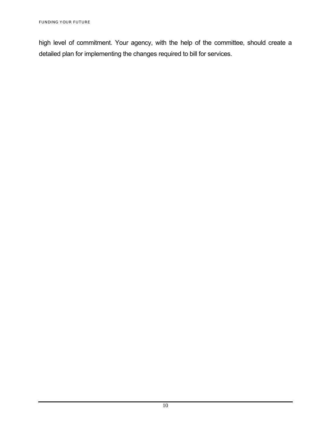high level of commitment. Your agency, with the help of the committee, should create a detailed plan for implementing the changes required to bill for services.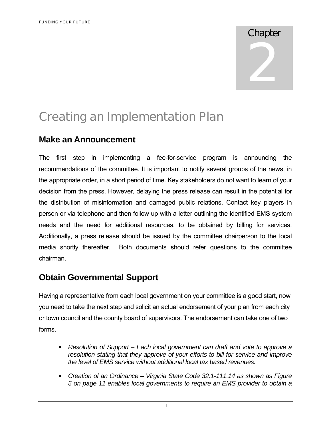# Chapter 2

## Creating an Implementation Plan

## **Make an Announcement**

The first step in implementing a fee-for-service program is announcing the recommendations of the committee. It is important to notify several groups of the news, in the appropriate order, in a short period of time. Key stakeholders do not want to learn of your decision from the press. However, delaying the press release can result in the potential for the distribution of misinformation and damaged public relations. Contact key players in person or via telephone and then follow up with a letter outlining the identified EMS system needs and the need for additional resources, to be obtained by billing for services. Additionally, a press release should be issued by the committee chairperson to the local media shortly thereafter. Both documents should refer questions to the committee chairman.

## **Obtain Governmental Support**

Having a representative from each local government on your committee is a good start, now you need to take the next step and solicit an actual endorsement of your plan from each city or town council and the county board of supervisors. The endorsement can take one of two forms.

- *Resolution of Support Each local government can draft and vote to approve a resolution stating that they approve of your efforts to bill for service and improve the level of EMS service without additional local tax based revenues.*
- *Creation of an Ordinance Virginia State Code 32.1-111.14 as shown as Figure 5 on page 11 enables local governments to require an EMS provider to obtain a*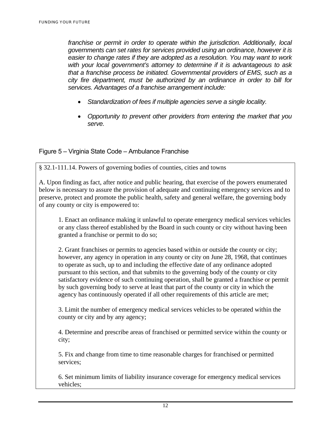*franchise or permit in order to operate within the jurisdiction. Additionally, local governments can set rates for services provided using an ordinance, however it is easier to change rates if they are adopted as a resolution. You may want to work with your local government's attorney to determine if it is advantageous to ask that a franchise process be initiated. Governmental providers of EMS, such as a city fire department, must be authorized by an ordinance in order to bill for services. Advantages of a franchise arrangement include:* 

- *Standardization of fees if multiple agencies serve a single locality.*
- *Opportunity to prevent other providers from entering the market that you serve.*

#### Figure 5 – Virginia State Code – Ambulance Franchise

§ 32.1-111.14. Powers of governing bodies of counties, cities and towns

A. Upon finding as fact, after notice and public hearing, that exercise of the powers enumerated below is necessary to assure the provision of adequate and continuing emergency services and to preserve, protect and promote the public health, safety and general welfare, the governing body of any county or city is empowered to:

 1. Enact an ordinance making it unlawful to operate emergency medical services vehicles or any class thereof established by the Board in such county or city without having been granted a franchise or permit to do so;

 2. Grant franchises or permits to agencies based within or outside the county or city; however, any agency in operation in any county or city on June 28, 1968, that continues to operate as such, up to and including the effective date of any ordinance adopted pursuant to this section, and that submits to the governing body of the county or city satisfactory evidence of such continuing operation, shall be granted a franchise or permit by such governing body to serve at least that part of the county or city in which the agency has continuously operated if all other requirements of this article are met;

 3. Limit the number of emergency medical services vehicles to be operated within the county or city and by any agency;

 4. Determine and prescribe areas of franchised or permitted service within the county or city;

 5. Fix and change from time to time reasonable charges for franchised or permitted services;

 6. Set minimum limits of liability insurance coverage for emergency medical services vehicles;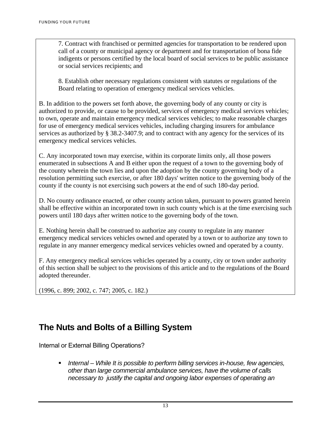7. Contract with franchised or permitted agencies for transportation to be rendered upon call of a county or municipal agency or department and for transportation of bona fide indigents or persons certified by the local board of social services to be public assistance or social services recipients; and

 8. Establish other necessary regulations consistent with statutes or regulations of the Board relating to operation of emergency medical services vehicles.

B. In addition to the powers set forth above, the governing body of any county or city is authorized to provide, or cause to be provided, services of emergency medical services vehicles; to own, operate and maintain emergency medical services vehicles; to make reasonable charges for use of emergency medical services vehicles, including charging insurers for ambulance services as authorized by § 38.2-3407.9; and to contract with any agency for the services of its emergency medical services vehicles.

C. Any incorporated town may exercise, within its corporate limits only, all those powers enumerated in subsections A and B either upon the request of a town to the governing body of the county wherein the town lies and upon the adoption by the county governing body of a resolution permitting such exercise, or after 180 days' written notice to the governing body of the county if the county is not exercising such powers at the end of such 180-day period.

D. No county ordinance enacted, or other county action taken, pursuant to powers granted herein shall be effective within an incorporated town in such county which is at the time exercising such powers until 180 days after written notice to the governing body of the town.

E. Nothing herein shall be construed to authorize any county to regulate in any manner emergency medical services vehicles owned and operated by a town or to authorize any town to regulate in any manner emergency medical services vehicles owned and operated by a county.

F. Any emergency medical services vehicles operated by a county, city or town under authority of this section shall be subject to the provisions of this article and to the regulations of the Board adopted thereunder.

(1996, c. 899; 2002, c. 747; 2005, c. 182.)

## **The Nuts and Bolts of a Billing System**

Internal or External Billing Operations?

 *Internal – While It is possible to perform billing services in-house, few agencies, other than large commercial ambulance services, have the volume of calls necessary to justify the capital and ongoing labor expenses of operating an*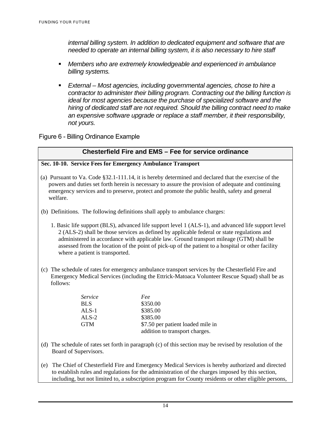*internal billing system. In addition to dedicated equipment and software that are needed to operate an internal billing system, it is also necessary to hire staff* 

- *Members who are extremely knowledgeable and experienced in ambulance billing systems.*
- *External Most agencies, including governmental agencies, chose to hire a contractor to administer their billing program. Contracting out the billing function is ideal for most agencies because the purchase of specialized software and the hiring of dedicated staff are not required. Should the billing contract need to make an expensive software upgrade or replace a staff member, it their responsibility, not yours.*

Figure 6 - Billing Ordinance Example

#### **Chesterfield Fire and EMS – Fee for service ordinance**

#### **Sec. 10-10. Service Fees for Emergency Ambulance Transport**

- (a) Pursuant to Va. Code §32.1-111.14, it is hereby determined and declared that the exercise of the powers and duties set forth herein is necessary to assure the provision of adequate and continuing emergency services and to preserve, protect and promote the public health, safety and general welfare.
- (b) Definitions. The following definitions shall apply to ambulance charges:
	- 1. Basic life support (BLS), advanced life support level 1 (ALS-1), and advanced life support level 2 (ALS-2) shall be those services as defined by applicable federal or state regulations and administered in accordance with applicable law. Ground transport mileage (GTM) shall be assessed from the location of the point of pick-up of the patient to a hospital or other facility where a patient is transported.
- (c) The schedule of rates for emergency ambulance transport services by the Chesterfield Fire and Emergency Medical Services (including the Ettrick-Matoaca Volunteer Rescue Squad) shall be as follows:

| Service | Fee                               |
|---------|-----------------------------------|
| BLS     | \$350.00                          |
| $ALS-1$ | \$385.00                          |
| $ALS-2$ | \$385.00                          |
| GTM     | \$7.50 per patient loaded mile in |
|         | addition to transport charges.    |

- (d) The schedule of rates set forth in paragraph (c) of this section may be revised by resolution of the Board of Supervisors.
- (e) The Chief of Chesterfield Fire and Emergency Medical Services is hereby authorized and directed to establish rules and regulations for the administration of the charges imposed by this section, including, but not limited to, a subscription program for County residents or other eligible persons,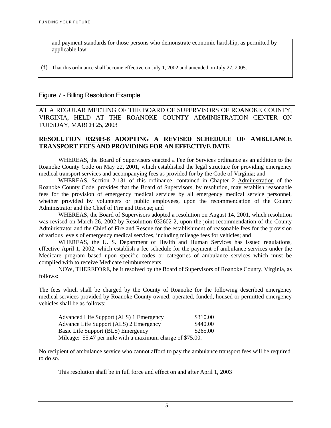and payment standards for those persons who demonstrate economic hardship, as permitted by applicable law.

(f) That this ordinance shall become effective on July 1, 2002 and amended on July 27, 2005.

#### Figure 7 - Billing Resolution Example

AT A REGULAR MEETING OF THE BOARD OF SUPERVISORS OF ROANOKE COUNTY, VIRGINIA, HELD AT THE ROANOKE COUNTY ADMINISTRATION CENTER ON TUESDAY, MARCH 25, 2003

#### **RESOLUTION 032503-8 ADOPTING A REVISED SCHEDULE OF AMBULANCE TRANSPORT FEES AND PROVIDING FOR AN EFFECTIVE DATE**

WHEREAS, the Board of Supervisors enacted a Fee for Services ordinance as an addition to the Roanoke County Code on May 22, 2001, which established the legal structure for providing emergency medical transport services and accompanying fees as provided for by the Code of Virginia; and

 WHEREAS, Section 2-131 of this ordinance, contained in Chapter 2 Administration of the Roanoke County Code, provides that the Board of Supervisors, by resolution, may establish reasonable fees for the provision of emergency medical services by all emergency medical service personnel, whether provided by volunteers or public employees, upon the recommendation of the County Administrator and the Chief of Fire and Rescue; and

 WHEREAS, the Board of Supervisors adopted a resolution on August 14, 2001, which resolution was revised on March 26, 2002 by Resolution 032602-2, upon the joint recommendation of the County Administrator and the Chief of Fire and Rescue for the establishment of reasonable fees for the provision of various levels of emergency medical services, including mileage fees for vehicles; and

 WHEREAS, the U. S. Department of Health and Human Services has issued regulations, effective April 1, 2002, which establish a fee schedule for the payment of ambulance services under the Medicare program based upon specific codes or categories of ambulance services which must be complied with to receive Medicare reimbursements.

 NOW, THEREFORE, be it resolved by the Board of Supervisors of Roanoke County, Virginia, as follows:

The fees which shall be charged by the County of Roanoke for the following described emergency medical services provided by Roanoke County owned, operated, funded, housed or permitted emergency vehicles shall be as follows:

| Advanced Life Support (ALS) 1 Emergency                    | \$310.00 |
|------------------------------------------------------------|----------|
| Advance Life Support (ALS) 2 Emergency                     | \$440.00 |
| Basic Life Support (BLS) Emergency                         | \$265.00 |
| Mileage: \$5.47 per mile with a maximum charge of \$75.00. |          |

No recipient of ambulance service who cannot afford to pay the ambulance transport fees will be required to do so.

This resolution shall be in full force and effect on and after April 1, 2003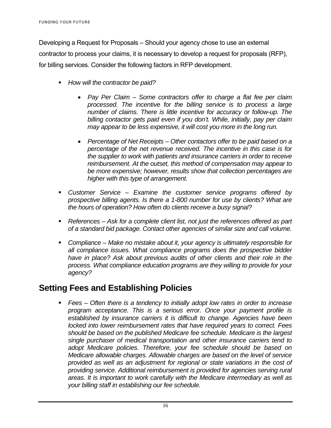Developing a Request for Proposals – Should your agency chose to use an external contractor to process your claims, it is necessary to develop a request for proposals (RFP), for billing services. Consider the following factors in RFP development.

- *How will the contractor be paid?* 
	- *Pay Per Claim Some contractors offer to charge a flat fee per claim processed. The incentive for the billing service is to process a large number of claims. There is little incentive for accuracy or follow-up. The billing contactor gets paid even if you don't. While, initially, pay per claim may appear to be less expensive, it will cost you more in the long run.*
	- *Percentage of Net Receipts Other contactors offer to be paid based on a percentage of the net revenue received. The incentive in this case is for the supplier to work with patients and insurance carriers in order to receive reimbursement. At the outset, this method of compensation may appear to be more expensive; however, results show that collection percentages are higher with this type of arrangement.*
- *Customer Service Examine the customer service programs offered by prospective billing agents. Is there a 1-800 number for use by clients? What are the hours of operation? How often do clients receive a busy signal?*
- *References Ask for a complete client list, not just the references offered as part of a standard bid package. Contact other agencies of similar size and call volume.*
- **Compliance Make no mistake about it, your agency is ultimately responsible for** *all compliance issues. What compliance programs does the prospective bidder have in place? Ask about previous audits of other clients and their role in the process. What compliance education programs are they willing to provide for your agency?*

## **Setting Fees and Establishing Policies**

 *Fees – Often there is a tendency to initially adopt low rates in order to increase program acceptance. This is a serious error. Once your payment profile is established by insurance carriers it is difficult to change. Agencies have been locked into lower reimbursement rates that have required years to correct. Fees should be based on the published Medicare fee schedule. Medicare is the largest single purchaser of medical transportation and other insurance carriers tend to adopt Medicare policies. Therefore, your fee schedule should be based on Medicare allowable charges. Allowable charges are based on the level of service provided as well as an adjustment for regional or state variations in the cost of providing service. Additional reimbursement is provided for agencies serving rural areas. It is important to work carefully with the Medicare intermediary as well as your billing staff in establishing our fee schedule.*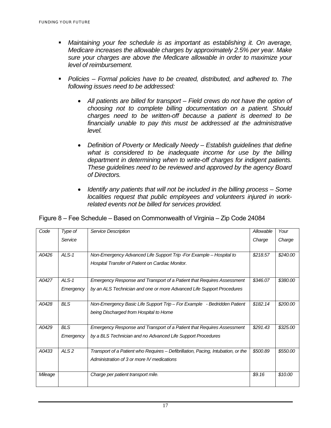- *Maintaining your fee schedule is as important as establishing it. On average, Medicare increases the allowable charges by approximately 2.5% per year. Make sure your charges are above the Medicare allowable in order to maximize your level of reimbursement.*
- *Policies Formal policies have to be created, distributed, and adhered to. The following issues need to be addressed:* 
	- All patients are billed for transport Field crews do not have the option of *choosing not to complete billing documentation on a patient. Should charges need to be written-off because a patient is deemed to be financially unable to pay this must be addressed at the administrative level.*
	- *Definition of Poverty or Medically Needy Establish guidelines that define what is considered to be inadequate income for use by the billing department in determining when to write-off charges for indigent patients. These guidelines need to be reviewed and approved by the agency Board of Directors.*
	- *Identify any patients that will not be included in the billing process Some localities request that public employees and volunteers injured in workrelated events not be billed for services provided.*

| Figure 8 - Fee Schedule - Based on Commonwealth of Virginia - Zip Code 24084 |  |  |  |
|------------------------------------------------------------------------------|--|--|--|
|                                                                              |  |  |  |
|                                                                              |  |  |  |

| Code    | Type of          | Service Description                                                              | Allowable | Your     |
|---------|------------------|----------------------------------------------------------------------------------|-----------|----------|
|         | Service          |                                                                                  | Charge    | Charge   |
|         |                  |                                                                                  |           |          |
| A0426   | $ALS-1$          | Non-Emergency Advanced Life Support Trip - For Example – Hospital to             | \$218.57  | \$240.00 |
|         |                  | Hospital Transfer of Patient on Cardiac Monitor.                                 |           |          |
|         |                  |                                                                                  |           |          |
| A0427   | $ALS-1$          | Emergency Response and Transport of a Patient that Requires Assessment           | \$346.07  | \$380.00 |
|         | Emergency        | by an ALS Technician and one or more Advanced Life Support Procedures            |           |          |
|         |                  |                                                                                  |           |          |
| A0428   | <b>BLS</b>       | Non-Emergency Basic Life Support Trip - For Example - Bedridden Patient          | \$182.14  | \$200.00 |
|         |                  | being Discharged from Hospital to Home                                           |           |          |
|         |                  |                                                                                  |           |          |
| A0429   | <b>BLS</b>       | Emergency Response and Transport of a Patient that Requires Assessment           | \$291.43  | \$325.00 |
|         | Emergency        | by a BLS Technician and no Advanced Life Support Procedures                      |           |          |
|         |                  |                                                                                  |           |          |
| A0433   | ALS <sub>2</sub> | Transport of a Patient who Requires – Defibrillation, Pacing, Intubation, or the | \$500.89  | \$550.00 |
|         |                  | Administration of 3 or more IV medications                                       |           |          |
|         |                  |                                                                                  |           |          |
| Mileage |                  | Charge per patient transport mile.                                               | \$9.16    | \$10.00  |
|         |                  |                                                                                  |           |          |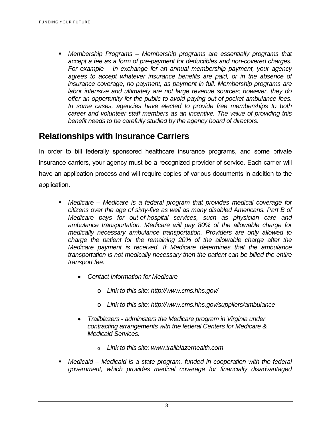*Membership Programs – Membership programs are essentially programs that accept a fee as a form of pre-payment for deductibles and non-covered charges. For example – In exchange for an annual membership payment, your agency agrees to accept whatever insurance benefits are paid, or in the absence of insurance coverage, no payment, as payment in full. Membership programs are labor intensive and ultimately are not large revenue sources; however, they do offer an opportunity for the public to avoid paying out-of-pocket ambulance fees. In some cases, agencies have elected to provide free memberships to both career and volunteer staff members as an incentive. The value of providing this benefit needs to be carefully studied by the agency board of directors.* 

## **Relationships with Insurance Carriers**

In order to bill federally sponsored healthcare insurance programs, and some private insurance carriers, your agency must be a recognized provider of service. Each carrier will have an application process and will require copies of various documents in addition to the application.

- *Medicare Medicare is a federal program that provides medical coverage for citizens over the age of sixty-five as well as many disabled Americans. Part B of Medicare pays for out-of-hospital services, such as physician care and ambulance transportation. Medicare will pay 80% of the allowable charge for medically necessary ambulance transportation. Providers are only allowed to charge the patient for the remaining 20% of the allowable charge after the Medicare payment is received. If Medicare determines that the ambulance transportation is not medically necessary then the patient can be billed the entire transport fee.* 
	- *Contact Information for Medicare* 
		- o *Link to this site: http://www.cms.hhs.gov/*
		- o *Link to this site: http://www.cms.hhs.gov/suppliers/ambulance*
	- *Trailblazers administers the Medicare program in Virginia under contracting arrangements with the federal Centers for Medicare & Medicaid Services.* 
		- o *Link to this site: www.trailblazerhealth.com*
- *Medicaid Medicaid is a state program, funded in cooperation with the federal government, which provides medical coverage for financially disadvantaged*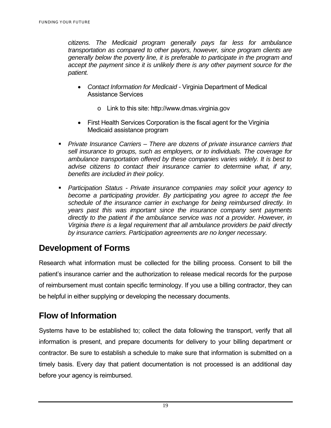*citizens. The Medicaid program generally pays far less for ambulance transportation as compared to other payors, however, since program clients are generally below the poverty line, it is preferable to participate in the program and accept the payment since it is unlikely there is any other payment source for the patient.* 

- *Contact Information for Medicaid* Virginia Department of Medical Assistance Services
	- o Link to this site: http://www.dmas.virginia.gov
- First Health Services Corporation is the fiscal agent for the Virginia Medicaid assistance program
- *Private Insurance Carriers There are dozens of private insurance carriers that sell insurance to groups, such as employers, or to individuals. The coverage for ambulance transportation offered by these companies varies widely. It is best to advise citizens to contact their insurance carrier to determine what, if any, benefits are included in their policy.*
- *Participation Status Private insurance companies may solicit your agency to become a participating provider. By participating you agree to accept the fee schedule of the insurance carrier in exchange for being reimbursed directly. In years past this was important since the insurance company sent payments directly to the patient if the ambulance service was not a provider. However, in Virginia there is a legal requirement that all ambulance providers be paid directly by insurance carriers. Participation agreements are no longer necessary.*

## **Development of Forms**

Research what information must be collected for the billing process. Consent to bill the patient's insurance carrier and the authorization to release medical records for the purpose of reimbursement must contain specific terminology. If you use a billing contractor, they can be helpful in either supplying or developing the necessary documents.

## **Flow of Information**

Systems have to be established to; collect the data following the transport, verify that all information is present, and prepare documents for delivery to your billing department or contractor. Be sure to establish a schedule to make sure that information is submitted on a timely basis. Every day that patient documentation is not processed is an additional day before your agency is reimbursed.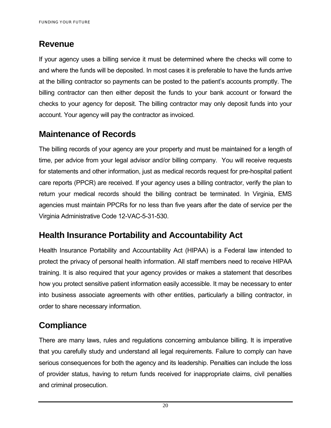## **Revenue**

If your agency uses a billing service it must be determined where the checks will come to and where the funds will be deposited. In most cases it is preferable to have the funds arrive at the billing contractor so payments can be posted to the patient's accounts promptly. The billing contractor can then either deposit the funds to your bank account or forward the checks to your agency for deposit. The billing contractor may only deposit funds into your account. Your agency will pay the contractor as invoiced.

## **Maintenance of Records**

The billing records of your agency are your property and must be maintained for a length of time, per advice from your legal advisor and/or billing company. You will receive requests for statements and other information, just as medical records request for pre-hospital patient care reports (PPCR) are received. If your agency uses a billing contractor, verify the plan to return your medical records should the billing contract be terminated. In Virginia, EMS agencies must maintain PPCRs for no less than five years after the date of service per the Virginia Administrative Code 12-VAC-5-31-530.

## **Health Insurance Portability and Accountability Act**

Health Insurance Portability and Accountability Act (HIPAA) is a Federal law intended to protect the privacy of personal health information. All staff members need to receive HIPAA training. It is also required that your agency provides or makes a statement that describes how you protect sensitive patient information easily accessible. It may be necessary to enter into business associate agreements with other entities, particularly a billing contractor, in order to share necessary information.

## **Compliance**

There are many laws, rules and regulations concerning ambulance billing. It is imperative that you carefully study and understand all legal requirements. Failure to comply can have serious consequences for both the agency and its leadership. Penalties can include the loss of provider status, having to return funds received for inappropriate claims, civil penalties and criminal prosecution.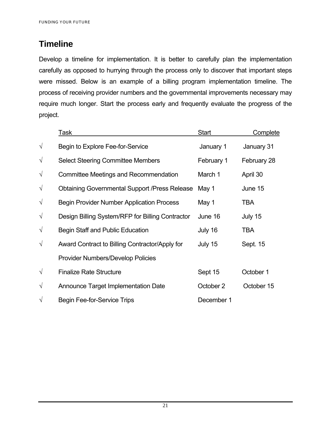## **Timeline**

Develop a timeline for implementation. It is better to carefully plan the implementation carefully as opposed to hurrying through the process only to discover that important steps were missed. Below is an example of a billing program implementation timeline. The process of receiving provider numbers and the governmental improvements necessary may require much longer. Start the process early and frequently evaluate the progress of the project.

|           | <u>Task</u>                                          | Start      | <b>Complete</b> |
|-----------|------------------------------------------------------|------------|-----------------|
| $\sqrt{}$ | Begin to Explore Fee-for-Service                     | January 1  | January 31      |
| $\sqrt{}$ | <b>Select Steering Committee Members</b>             | February 1 | February 28     |
| $\sqrt{}$ | Committee Meetings and Recommendation                | March 1    | April 30        |
| $\sqrt{}$ | <b>Obtaining Governmental Support /Press Release</b> | May 1      | June 15         |
| $\sqrt{}$ | <b>Begin Provider Number Application Process</b>     | May 1      | TBA             |
| $\sqrt{}$ | Design Billing System/RFP for Billing Contractor     | June 16    | July 15         |
| $\sqrt{}$ | <b>Begin Staff and Public Education</b>              | July 16    | TBA             |
| $\sqrt{}$ | Award Contract to Billing Contractor/Apply for       | July 15    | Sept. 15        |
|           | Provider Numbers/Develop Policies                    |            |                 |
| $\sqrt{}$ | <b>Finalize Rate Structure</b>                       | Sept 15    | October 1       |
| $\sqrt{}$ | Announce Target Implementation Date                  | October 2  | October 15      |
| $\sqrt{}$ | <b>Begin Fee-for-Service Trips</b>                   | December 1 |                 |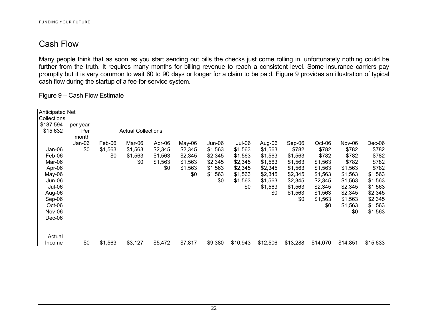## Cash Flow

Many people think that as soon as you start sending out bills the checks just come rolling in, unfortunately nothing could be further from the truth. It requires many months for billing revenue to reach a consistent level. Some insurance carriers pay promptly but it is very common to wait 60 to 90 days or longer for a claim to be paid. Figure 9 provides an illustration of typical cash flow during the startup of a fee-for-service system.

Figure 9 – Cash Flow Estimate

| <b>Anticipated Net</b> |              |         |                           |         |         |         |          |          |          |          |          |          |
|------------------------|--------------|---------|---------------------------|---------|---------|---------|----------|----------|----------|----------|----------|----------|
| Collections            |              |         |                           |         |         |         |          |          |          |          |          |          |
| \$187,594              | per year     |         |                           |         |         |         |          |          |          |          |          |          |
| \$15,632               | Per<br>month |         | <b>Actual Collections</b> |         |         |         |          |          |          |          |          |          |
|                        | Jan-06       | Feb-06  | Mar-06                    | Apr-06  | May-06  | Jun-06  | Jul-06   | Aug-06   | Sep-06   | Oct-06   | Nov-06   | Dec-06   |
| Jan-06                 | \$0          | \$1,563 | \$1,563                   | \$2,345 | \$2,345 | \$1,563 | \$1,563  | \$1,563  | \$782    | \$782    | \$782    | \$782    |
| Feb-06                 |              | \$0     | \$1,563                   | \$1,563 | \$2,345 | \$2,345 | \$1,563  | \$1,563  | \$1,563  | \$782    | \$782    | \$782    |
| Mar-06                 |              |         | \$0                       | \$1,563 | \$1,563 | \$2,345 | \$2,345  | \$1,563  | \$1,563  | \$1,563  | \$782    | \$782    |
| Apr-06                 |              |         |                           | \$0     | \$1,563 | \$1,563 | \$2,345  | \$2,345  | \$1,563  | \$1,563  | \$1,563  | \$782    |
| May-06                 |              |         |                           |         | \$0     | \$1,563 | \$1,563  | \$2,345  | \$2,345  | \$1,563  | \$1,563  | \$1,563  |
| Jun-06                 |              |         |                           |         |         | \$0     | \$1,563  | \$1,563  | \$2,345  | \$2,345  | \$1,563  | \$1,563  |
| Jul-06                 |              |         |                           |         |         |         | \$0      | \$1,563  | \$1,563  | \$2,345  | \$2,345  | \$1,563  |
| Aug-06                 |              |         |                           |         |         |         |          | \$0      | \$1,563  | \$1,563  | \$2,345  | \$2,345  |
| Sep-06                 |              |         |                           |         |         |         |          |          | \$0      | \$1,563  | \$1,563  | \$2,345  |
| Oct-06                 |              |         |                           |         |         |         |          |          |          | \$0      | \$1,563  | \$1,563  |
| Nov-06                 |              |         |                           |         |         |         |          |          |          |          | \$0      | \$1,563  |
| Dec-06                 |              |         |                           |         |         |         |          |          |          |          |          |          |
|                        |              |         |                           |         |         |         |          |          |          |          |          |          |
| Actual                 |              |         |                           |         |         |         |          |          |          |          |          |          |
| Income                 | \$0          | \$1,563 | \$3,127                   | \$5,472 | \$7,817 | \$9,380 | \$10,943 | \$12,506 | \$13,288 | \$14,070 | \$14,851 | \$15,633 |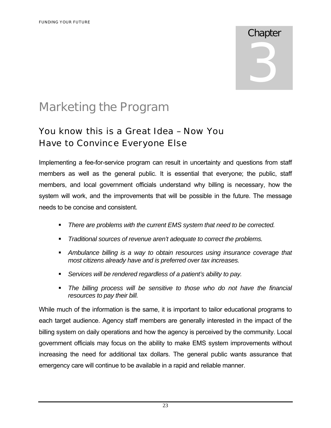## **Chapter**

3

## Marketing the Program

## You know this is a Great Idea – Now You Have to Convince Everyone Else

Implementing a fee-for-service program can result in uncertainty and questions from staff members as well as the general public. It is essential that everyone; the public, staff members, and local government officials understand why billing is necessary, how the system will work, and the improvements that will be possible in the future. The message needs to be concise and consistent.

- *There are problems with the current EMS system that need to be corrected.*
- *Traditional sources of revenue aren't adequate to correct the problems.*
- *Ambulance billing is a way to obtain resources using insurance coverage that most citizens already have and is preferred over tax increases.*
- *Services will be rendered regardless of a patient's ability to pay.*
- *The billing process will be sensitive to those who do not have the financial resources to pay their bill.*

While much of the information is the same, it is important to tailor educational programs to each target audience. Agency staff members are generally interested in the impact of the billing system on daily operations and how the agency is perceived by the community. Local government officials may focus on the ability to make EMS system improvements without increasing the need for additional tax dollars. The general public wants assurance that emergency care will continue to be available in a rapid and reliable manner.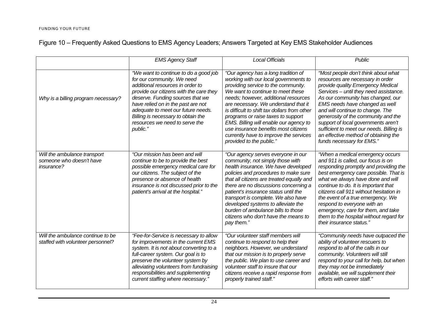|  |  |  | Figure 10 – Frequently Asked Questions to EMS Agency Leaders; Answers Targeted at Key EMS Stakeholder Audiences |
|--|--|--|-----------------------------------------------------------------------------------------------------------------|
|  |  |  |                                                                                                                 |

|                                                                               | <b>EMS Agency Staff</b>                                                                                                                                                                                                                                                                                                                                | <b>Local Officials</b>                                                                                                                                                                                                                                                                                                                                                                                                                                                                 | <b>Public</b>                                                                                                                                                                                                                                                                                                                                                                                                                                                     |
|-------------------------------------------------------------------------------|--------------------------------------------------------------------------------------------------------------------------------------------------------------------------------------------------------------------------------------------------------------------------------------------------------------------------------------------------------|----------------------------------------------------------------------------------------------------------------------------------------------------------------------------------------------------------------------------------------------------------------------------------------------------------------------------------------------------------------------------------------------------------------------------------------------------------------------------------------|-------------------------------------------------------------------------------------------------------------------------------------------------------------------------------------------------------------------------------------------------------------------------------------------------------------------------------------------------------------------------------------------------------------------------------------------------------------------|
| Why is a billing program necessary?                                           | "We want to continue to do a good job<br>for our community. We need<br>additional resources in order to<br>provide our citizens with the care they<br>deserve. Funding sources that we<br>have relied on in the past are not<br>adequate to meet our future needs.<br>Billing is necessary to obtain the<br>resources we need to serve the<br>public." | "Our agency has a long tradition of<br>working with our local governments to<br>providing service to the community.<br>We want to continue to meet these<br>needs; however, additional resources<br>are necessary. We understand that it<br>is difficult to shift tax dollars from other<br>programs or raise taxes to support<br>EMS. Billing will enable our agency to<br>use insurance benefits most citizens<br>currently have to improve the services<br>provided to the public." | "Most people don't think about what<br>resources are necessary in order<br>provide quality Emergency Medical<br>Services - until they need assistance.<br>As our community has changed, our<br>EMS needs have changed as well<br>and will continue to change. The<br>generosity of the community and the<br>support of local governments aren't<br>sufficient to meet our needs. Billing is<br>an effective method of obtaining the<br>funds necessary for EMS."  |
| Will the ambulance transport<br>someone who doesn't have<br><i>insurance?</i> | "Our mission has been and will<br>continue to be to provide the best<br>possible emergency medical care for<br>our citizens. The subject of the<br>presence or absence of health<br>insurance is not discussed prior to the<br>patient's arrival at the hospital."                                                                                     | "Our agency serves everyone in our<br>community, not simply those with<br>health insurance. We have developed<br>policies and procedures to make sure<br>that all citizens are treated equally and<br>there are no discussions concerning a<br>patient's insurance status until the<br>transport is complete. We also have<br>developed systems to alleviate the<br>burden of ambulance bills to those<br>citizens who don't have the means to<br>pay them."                           | "When a medical emergency occurs<br>and 911 is called, our focus is on<br>responding promptly and providing the<br>best emergency care possible. That is<br>what we always have done and will<br>continue to do. It is important that<br>citizens call 911 without hesitation in<br>the event of a true emergency. We<br>respond to everyone with an<br>emergency, care for them, and take<br>them to the hospital without regard for<br>their insurance status." |
| Will the ambulance continue to be<br>staffed with volunteer personnel?        | "Fee-for-Service is necessary to allow<br>for improvements in the current EMS<br>system. It is not about converting to a<br>full-career system. Our goal is to<br>preserve the volunteer system by<br>alleviating volunteers from fundraising<br>responsibilities and supplementing<br>current staffing where necessary."                              | "Our volunteer staff members will<br>continue to respond to help their<br>neighbors. However, we understand<br>that our mission is to properly serve<br>the public. We plan to use career and<br>volunteer staff to insure that our<br>citizens receive a rapid response from<br>properly trained staff."                                                                                                                                                                              | "Community needs have outpaced the<br>ability of volunteer rescuers to<br>respond to all of the calls in our<br>community. Volunteers will still<br>respond to your call for help, but when<br>they may not be immediately<br>available, we will supplement their<br>efforts with career staff."                                                                                                                                                                  |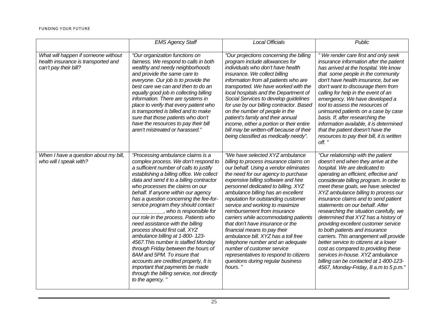|                                                                                                     | <b>EMS Agency Staff</b>                                                                                                                                                                                                                                                                                                                                                                                                                                                                                                                                                                                                                                                                                                                                                                                         | <b>Local Officials</b>                                                                                                                                                                                                                                                                                                                                                                                                                                                                                                                                                                                                                                                                                  | <b>Public</b>                                                                                                                                                                                                                                                                                                                                                                                                                                                                                                                                                                                                                                                                                                                                                           |
|-----------------------------------------------------------------------------------------------------|-----------------------------------------------------------------------------------------------------------------------------------------------------------------------------------------------------------------------------------------------------------------------------------------------------------------------------------------------------------------------------------------------------------------------------------------------------------------------------------------------------------------------------------------------------------------------------------------------------------------------------------------------------------------------------------------------------------------------------------------------------------------------------------------------------------------|---------------------------------------------------------------------------------------------------------------------------------------------------------------------------------------------------------------------------------------------------------------------------------------------------------------------------------------------------------------------------------------------------------------------------------------------------------------------------------------------------------------------------------------------------------------------------------------------------------------------------------------------------------------------------------------------------------|-------------------------------------------------------------------------------------------------------------------------------------------------------------------------------------------------------------------------------------------------------------------------------------------------------------------------------------------------------------------------------------------------------------------------------------------------------------------------------------------------------------------------------------------------------------------------------------------------------------------------------------------------------------------------------------------------------------------------------------------------------------------------|
| What will happen if someone without<br>health insurance is transported and<br>can't pay their bill? | "Our organization functions on<br>fairness. We respond to calls in both<br>wealthy and needy neighborhoods<br>and provide the same care to<br>everyone. Our job is to provide the<br>best care we can and then to do an<br>equally good job in collecting billing<br>information. There are systems in<br>place to verify that every patient who<br>is transported is billed and to make<br>sure that those patients who don't<br>have the resources to pay their bill<br>aren't mistreated or harassed."                                                                                                                                                                                                                                                                                                       | "Our projections concerning the billing<br>program include allowances for<br>individuals who don't have health<br>insurance. We collect billing<br>information from all patients who are<br>transported. We have worked with the<br>local hospitals and the Department of<br>Social Services to develop guidelines<br>for use by our billing contractor. Based<br>on the number of people in the<br>patient's family and their annual<br>income, either a portion or their entire<br>bill may be written-off because of their<br>being classified as medically needy".                                                                                                                                  | "We render care first and only seek<br>insurance information after the patient<br>has arrived at the hospital. We know<br>that some people in the community<br>don't have health insurance, but we<br>don't want to discourage them from<br>calling for help in the event of an<br>emergency. We have developed a<br>tool to assess the resources of<br>uninsured patients on a case by case<br>basis. If, after researching the<br>information available, it is determined<br>that the patient doesn't have the<br>resources to pay their bill, it is written<br>off."                                                                                                                                                                                                 |
| When I have a question about my bill,<br>who will I speak with?                                     | "Processing ambulance claims is a<br>complex process. We don't respond to<br>a sufficient number of calls to justify<br>establishing a billing office. We collect<br>data and send it to a billing contractor<br>who processes the claims on our<br>behalf. If anyone within our agency<br>has a question concerning the fee-for-<br>service program they should contact<br>, who is responsible for<br>our role in the process. Patients who<br>need assistance with the billing<br>process should first call, XYZ<br>ambulance billing at 1-800-123-<br>4567. This number is staffed Monday<br>through Friday between the hours of<br>8AM and 5PM. To insure that<br>accounts are credited properly, It is<br>important that payments be made<br>through the billing service, not directly<br>to the agency." | "We have selected XYZ ambulance<br>billing to process insurance claims on<br>our behalf. Using a vendor eliminates<br>the need for our agency to purchase<br>expensive billing software and hire<br>personnel dedicated to billing. XYZ<br>ambulance billing has an excellent<br>reputation for outstanding customer<br>service and working to maximize<br>reimbursement from insurance<br>carriers while accommodating patients<br>that don't have insurance or the<br>financial means to pay their<br>ambulance bill. XYZ has a toll free<br>telephone number and an adequate<br>number of customer service<br>representatives to respond to citizens<br>questions during regular business<br>hours." | "Our relationship with the patient<br>doesn't end when they arrive at the<br>hospital. We are dedicated to<br>operating an efficient, effective and<br>considerate billing program. In order to<br>meet these goals, we have selected<br>XYZ ambulance billing to process our<br>insurance claims and to send patient<br>statements on our behalf. After<br>researching the situation carefully, we<br>determined that XYZ has a history of<br>providing excellent customer service<br>to both patients and insurance<br>carriers. This arrangement will provide<br>better service to citizens at a lower<br>cost as compared to providing these<br>services in-house. XYZ ambulance<br>billing can be contacted at 1-800-123-<br>4567, Monday-Friday, 8 a.m to 5 p.m." |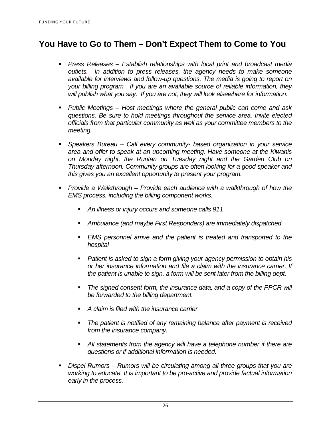## **You Have to Go to Them – Don't Expect Them to Come to You**

- **Press Releases Establish relationships with local print and broadcast media** *outlets. In addition to press releases, the agency needs to make someone available for interviews and follow-up questions. The media is going to report on your billing program. If you are an available source of reliable information, they will publish what you say. If you are not, they will look elsewhere for information.*
- *Public Meetings Host meetings where the general public can come and ask questions. Be sure to hold meetings throughout the service area. Invite elected officials from that particular community as well as your committee members to the meeting.*
- *Speakers Bureau Call every community- based organization in your service area and offer to speak at an upcoming meeting. Have someone at the Kiwanis on Monday night, the Ruritan on Tuesday night and the Garden Club on Thursday afternoon. Community groups are often looking for a good speaker and this gives you an excellent opportunity to present your program.*
- *Provide a Walkthrough Provide each audience with a walkthrough of how the EMS process, including the billing component works.* 
	- *An illness or injury occurs and someone calls 911*
	- *Ambulance (and maybe First Responders) are immediately dispatched*
	- *EMS personnel arrive and the patient is treated and transported to the hospital*
	- *Patient is asked to sign a form giving your agency permission to obtain his or her insurance information and file a claim with the insurance carrier. If the patient is unable to sign, a form will be sent later from the billing dept.*
	- *The signed consent form, the insurance data, and a copy of the PPCR will be forwarded to the billing department.*
	- *A claim is filed with the insurance carrier*
	- *The patient is notified of any remaining balance after payment is received from the insurance company.*
	- *All statements from the agency will have a telephone number if there are questions or if additional information is needed.*
- *Dispel Rumors Rumors will be circulating among all three groups that you are working to educate. It is important to be pro-active and provide factual information early in the process.*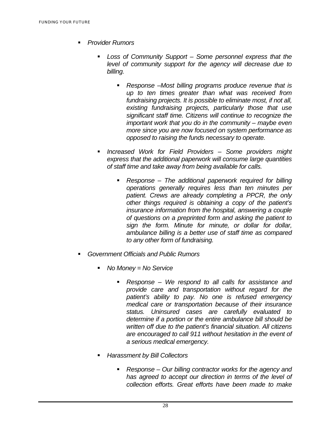- *Provider Rumors* 
	- *Loss of Community Support Some personnel express that the level of community support for the agency will decrease due to billing.* 
		- *Response –Most billing programs produce revenue that is up to ten times greater than what was received from fundraising projects. It is possible to eliminate most, if not all, existing fundraising projects, particularly those that use significant staff time. Citizens will continue to recognize the important work that you do in the community – maybe even more since you are now focused on system performance as opposed to raising the funds necessary to operate.*
	- *Increased Work for Field Providers Some providers might express that the additional paperwork will consume large quantities of staff time and take away from being available for calls.* 
		- *Response The additional paperwork required for billing operations generally requires less than ten minutes per patient. Crews are already completing a PPCR, the only other things required is obtaining a copy of the patient's insurance information from the hospital, answering a couple of questions on a preprinted form and asking the patient to sign the form. Minute for minute, or dollar for dollar, ambulance billing is a better use of staff time as compared to any other form of fundraising.*
- *Government Officials and Public Rumors* 
	- *No Money = No Service* 
		- *Response We respond to all calls for assistance and provide care and transportation without regard for the patient's ability to pay. No one is refused emergency medical care or transportation because of their insurance status. Uninsured cases are carefully evaluated to determine if a portion or the entire ambulance bill should be written off due to the patient's financial situation. All citizens are encouraged to call 911 without hesitation in the event of a serious medical emergency.*
	- *Harassment by Bill Collectors* 
		- *Response Our billing contractor works for the agency and has agreed to accept our direction in terms of the level of collection efforts. Great efforts have been made to make*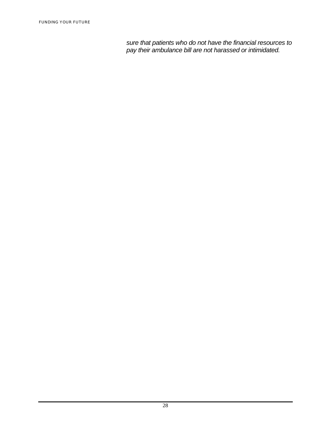*sure that patients who do not have the financial resources to pay their ambulance bill are not harassed or intimidated.*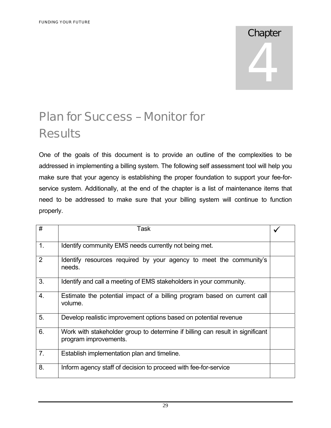# **Chapter** 4

# Plan for Success – Monitor for **Results**

One of the goals of this document is to provide an outline of the complexities to be addressed in implementing a billing system. The following self assessment tool will help you make sure that your agency is establishing the proper foundation to support your fee-forservice system. Additionally, at the end of the chapter is a list of maintenance items that need to be addressed to make sure that your billing system will continue to function properly.

| #              | Task                                                                                                   |  |
|----------------|--------------------------------------------------------------------------------------------------------|--|
| 1 <sub>1</sub> | Identify community EMS needs currently not being met.                                                  |  |
| 2              | Identify resources required by your agency to meet the community's<br>needs.                           |  |
| 3.             | Identify and call a meeting of EMS stakeholders in your community.                                     |  |
| 4.             | Estimate the potential impact of a billing program based on current call<br>volume.                    |  |
| 5.             | Develop realistic improvement options based on potential revenue                                       |  |
| 6.             | Work with stakeholder group to determine if billing can result in significant<br>program improvements. |  |
| 7.             | Establish implementation plan and timeline.                                                            |  |
| 8.             | Inform agency staff of decision to proceed with fee-for-service                                        |  |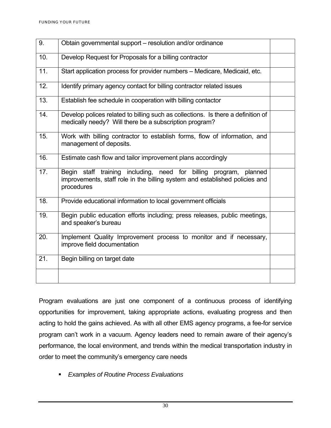| 9.  | Obtain governmental support – resolution and/or ordinance                                                                                                         |  |
|-----|-------------------------------------------------------------------------------------------------------------------------------------------------------------------|--|
| 10. | Develop Request for Proposals for a billing contractor                                                                                                            |  |
| 11. | Start application process for provider numbers - Medicare, Medicaid, etc.                                                                                         |  |
| 12. | Identify primary agency contact for billing contractor related issues                                                                                             |  |
| 13. | Establish fee schedule in cooperation with billing contactor                                                                                                      |  |
| 14. | Develop polices related to billing such as collections. Is there a definition of<br>medically needy? Will there be a subscription program?                        |  |
| 15. | Work with billing contractor to establish forms, flow of information, and<br>management of deposits.                                                              |  |
| 16. | Estimate cash flow and tailor improvement plans accordingly                                                                                                       |  |
| 17. | Begin staff training including, need for billing program,<br>planned<br>improvements, staff role in the billing system and established policies and<br>procedures |  |
| 18. | Provide educational information to local government officials                                                                                                     |  |
| 19. | Begin public education efforts including; press releases, public meetings,<br>and speaker's bureau                                                                |  |
| 20. | Implement Quality Improvement process to monitor and if necessary,<br>improve field documentation                                                                 |  |
| 21. | Begin billing on target date                                                                                                                                      |  |
|     |                                                                                                                                                                   |  |

Program evaluations are just one component of a continuous process of identifying opportunities for improvement, taking appropriate actions, evaluating progress and then acting to hold the gains achieved. As with all other EMS agency programs, a fee-for service program can't work in a vacuum. Agency leaders need to remain aware of their agency's performance, the local environment, and trends within the medical transportation industry in order to meet the community's emergency care needs

*Examples of Routine Process Evaluations*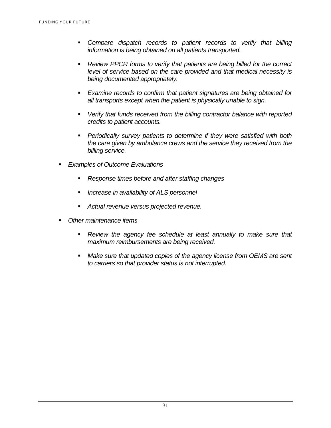- *Compare dispatch records to patient records to verify that billing information is being obtained on all patients transported.*
- *Review PPCR forms to verify that patients are being billed for the correct level of service based on the care provided and that medical necessity is being documented appropriately.*
- *Examine records to confirm that patient signatures are being obtained for all transports except when the patient is physically unable to sign.*
- *Verify that funds received from the billing contractor balance with reported credits to patient accounts.*
- *Periodically survey patients to determine if they were satisfied with both the care given by ambulance crews and the service they received from the billing service.*
- *Examples of Outcome Evaluations* 
	- *Response times before and after staffing changes*
	- *Increase in availability of ALS personnel*
	- *Actual revenue versus projected revenue.*
- *Other maintenance items* 
	- *Review the agency fee schedule at least annually to make sure that maximum reimbursements are being received.*
	- *Make sure that updated copies of the agency license from OEMS are sent to carriers so that provider status is not interrupted.*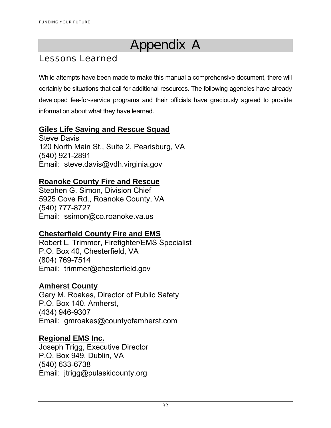# Appendix A

## Lessons Learned

While attempts have been made to make this manual a comprehensive document, there will certainly be situations that call for additional resources. The following agencies have already developed fee-for-service programs and their officials have graciously agreed to provide information about what they have learned.

#### **Giles Life Saving and Rescue Squad**

Steve Davis 120 North Main St., Suite 2, Pearisburg, VA (540) 921-2891 Email: steve.davis@vdh.virginia.gov

#### **Roanoke County Fire and Rescue**

Stephen G. Simon, Division Chief 5925 Cove Rd., Roanoke County, VA (540) 777-8727 Email: ssimon@co.roanoke.va.us

## **Chesterfield County Fire and EMS**

Robert L. Trimmer, Firefighter/EMS Specialist P.O. Box 40, Chesterfield, VA (804) 769-7514 Email: trimmer@chesterfield.gov

#### **Amherst County**

Gary M. Roakes, Director of Public Safety P.O. Box 140. Amherst, (434) 946-9307 Email: gmroakes@countyofamherst.com

#### **Regional EMS Inc.**

Joseph Trigg, Executive Director P.O. Box 949. Dublin, VA (540) 633-6738 Email: jtrigg@pulaskicounty.org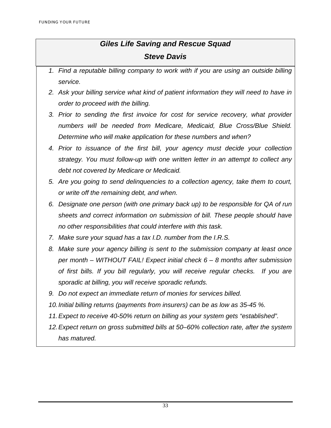## *Giles Life Saving and Rescue Squad Steve Davis*

- *1. Find a reputable billing company to work with if you are using an outside billing service.*
- *2. Ask your billing service what kind of patient information they will need to have in order to proceed with the billing.*
- *3. Prior to sending the first invoice for cost for service recovery, what provider numbers will be needed from Medicare, Medicaid, Blue Cross/Blue Shield. Determine who will make application for these numbers and when?*
- *4. Prior to issuance of the first bill, your agency must decide your collection strategy. You must follow-up with one written letter in an attempt to collect any debt not covered by Medicare or Medicaid.*
- *5. Are you going to send delinquencies to a collection agency, take them to court, or write off the remaining debt, and when.*
- *6. Designate one person (with one primary back up) to be responsible for QA of run sheets and correct information on submission of bill. These people should have no other responsibilities that could interfere with this task.*
- *7. Make sure your squad has a tax I.D. number from the I.R.S.*
- *8. Make sure your agency billing is sent to the submission company at least once per month – WITHOUT FAIL! Expect initial check 6 – 8 months after submission of first bills. If you bill regularly, you will receive regular checks. If you are sporadic at billing, you will receive sporadic refunds.*
- *9. Do not expect an immediate return of monies for services billed.*
- *10. Initial billing returns (payments from insurers) can be as low as 35-45 %.*
- *11. Expect to receive 40-50% return on billing as your system gets "established".*
- *12. Expect return on gross submitted bills at 50–60% collection rate, after the system has matured.*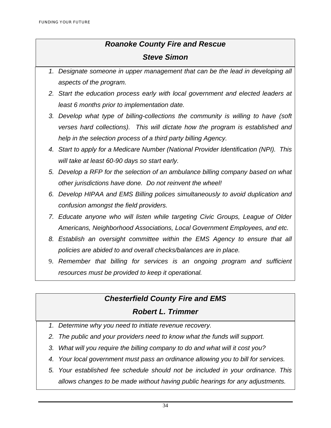#### *Roanoke County Fire and Rescue*

#### *Steve Simon*

- *1. Designate someone in upper management that can be the lead in developing all aspects of the program.*
- *2. Start the education process early with local government and elected leaders at least 6 months prior to implementation date.*
- *3. Develop what type of billing-collections the community is willing to have (soft verses hard collections). This will dictate how the program is established and help in the selection process of a third party billing Agency.*
- *4. Start to apply for a Medicare Number (National Provider Identification (NPI). This will take at least 60-90 days so start early.*
- *5. Develop a RFP for the selection of an ambulance billing company based on what other jurisdictions have done. Do not reinvent the wheel!*
- *6. Develop HIPAA and EMS Billing polices simultaneously to avoid duplication and confusion amongst the field providers.*
- *7. Educate anyone who will listen while targeting Civic Groups, League of Older Americans, Neighborhood Associations, Local Government Employees, and etc.*
- *8. Establish an oversight committee within the EMS Agency to ensure that all policies are abided to and overall checks/balances are in place.*
- 9. *Remember that billing for services is an ongoing program and sufficient resources must be provided to keep it operational.*

#### *Chesterfield County Fire and EMS*

#### *Robert L. Trimmer*

- *1. Determine why you need to initiate revenue recovery.*
- *2. The public and your providers need to know what the funds will support.*
- *3. What will you require the billing company to do and what will it cost you?*
- *4. Your local government must pass an ordinance allowing you to bill for services.*
- *5. Your established fee schedule should not be included in your ordinance. This allows changes to be made without having public hearings for any adjustments.*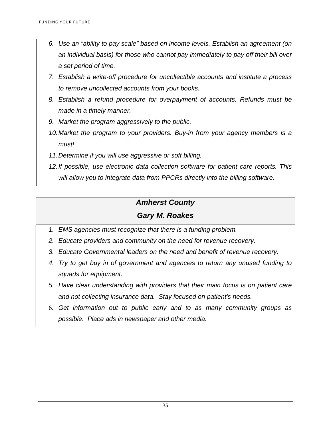- *6. Use an "ability to pay scale" based on income levels. Establish an agreement (on an individual basis) for those who cannot pay immediately to pay off their bill over a set period of time.*
- *7. Establish a write-off procedure for uncollectible accounts and institute a process to remove uncollected accounts from your books.*
- *8. Establish a refund procedure for overpayment of accounts. Refunds must be made in a timely manner.*
- *9. Market the program aggressively to the public.*
- 10. Market the program to your providers. Buy-in from your agency members is a *must!*
- *11. Determine if you will use aggressive or soft billing.*
- *12. If possible, use electronic data collection software for patient care reports. This will allow you to integrate data from PPCRs directly into the billing software.*

## *Amherst County*

### *Gary M. Roakes*

- *1. EMS agencies must recognize that there is a funding problem.*
- *2. Educate providers and community on the need for revenue recovery.*
- *3. Educate Governmental leaders on the need and benefit of revenue recovery.*
- *4. Try to get buy in of government and agencies to return any unused funding to squads for equipment.*
- *5. Have clear understanding with providers that their main focus is on patient care and not collecting insurance data. Stay focused on patient's needs.*
- 6. *Get information out to public early and to as many community groups as possible. Place ads in newspaper and other media.*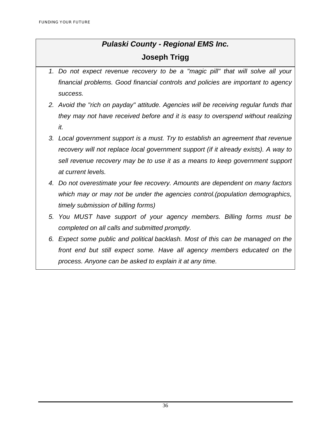## *Pulaski County - Regional EMS Inc.*

#### **Joseph Trigg**

- *1. Do not expect revenue recovery to be a "magic pill" that will solve all your financial problems. Good financial controls and policies are important to agency success.*
- *2. Avoid the "rich on payday" attitude. Agencies will be receiving regular funds that they may not have received before and it is easy to overspend without realizing it.*
- *3. Local government support is a must. Try to establish an agreement that revenue recovery will not replace local government support (if it already exists). A way to sell revenue recovery may be to use it as a means to keep government support at current levels.*
- *4. Do not overestimate your fee recovery. Amounts are dependent on many factors which may or may not be under the agencies control.(population demographics, timely submission of billing forms)*
- *5. You MUST have support of your agency members. Billing forms must be completed on all calls and submitted promptly.*
- *6. Expect some public and political backlash. Most of this can be managed on the front end but still expect some. Have all agency members educated on the process. Anyone can be asked to explain it at any time.*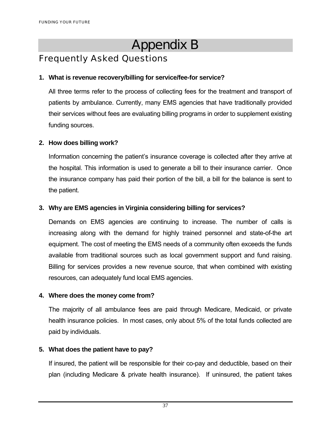# Appendix B

## Frequently Asked Questions

#### **1. What is revenue recovery/billing for service/fee-for service?**

All three terms refer to the process of collecting fees for the treatment and transport of patients by ambulance. Currently, many EMS agencies that have traditionally provided their services without fees are evaluating billing programs in order to supplement existing funding sources.

#### **2. How does billing work?**

Information concerning the patient's insurance coverage is collected after they arrive at the hospital. This information is used to generate a bill to their insurance carrier. Once the insurance company has paid their portion of the bill, a bill for the balance is sent to the patient.

#### **3. Why are EMS agencies in Virginia considering billing for services?**

Demands on EMS agencies are continuing to increase. The number of calls is increasing along with the demand for highly trained personnel and state-of-the art equipment. The cost of meeting the EMS needs of a community often exceeds the funds available from traditional sources such as local government support and fund raising. Billing for services provides a new revenue source, that when combined with existing resources, can adequately fund local EMS agencies.

#### **4. Where does the money come from?**

The majority of all ambulance fees are paid through Medicare, Medicaid, or private health insurance policies. In most cases, only about 5% of the total funds collected are paid by individuals.

#### **5. What does the patient have to pay?**

If insured, the patient will be responsible for their co-pay and deductible, based on their plan (including Medicare & private health insurance). If uninsured, the patient takes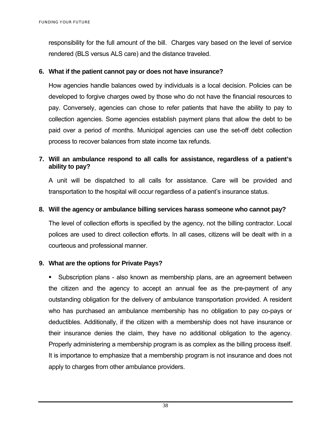responsibility for the full amount of the bill. Charges vary based on the level of service rendered (BLS versus ALS care) and the distance traveled.

#### **6. What if the patient cannot pay or does not have insurance?**

How agencies handle balances owed by individuals is a local decision. Policies can be developed to forgive charges owed by those who do not have the financial resources to pay. Conversely, agencies can chose to refer patients that have the ability to pay to collection agencies. Some agencies establish payment plans that allow the debt to be paid over a period of months. Municipal agencies can use the set-off debt collection process to recover balances from state income tax refunds.

#### **7. Will an ambulance respond to all calls for assistance, regardless of a patient's ability to pay?**

A unit will be dispatched to all calls for assistance. Care will be provided and transportation to the hospital will occur regardless of a patient's insurance status.

#### **8. Will the agency or ambulance billing services harass someone who cannot pay?**

The level of collection efforts is specified by the agency, not the billing contractor. Local polices are used to direct collection efforts. In all cases, citizens will be dealt with in a courteous and professional manner.

#### **9. What are the options for Private Pays?**

 Subscription plans - also known as membership plans, are an agreement between the citizen and the agency to accept an annual fee as the pre-payment of any outstanding obligation for the delivery of ambulance transportation provided. A resident who has purchased an ambulance membership has no obligation to pay co-pays or deductibles. Additionally, if the citizen with a membership does not have insurance or their insurance denies the claim, they have no additional obligation to the agency. Properly administering a membership program is as complex as the billing process itself. It is importance to emphasize that a membership program is not insurance and does not apply to charges from other ambulance providers.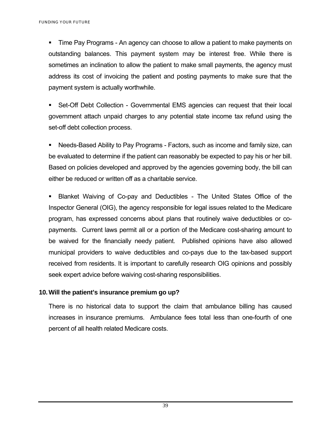FUNDING YOUR FUTURE

 Time Pay Programs - An agency can choose to allow a patient to make payments on outstanding balances. This payment system may be interest free. While there is sometimes an inclination to allow the patient to make small payments, the agency must address its cost of invoicing the patient and posting payments to make sure that the payment system is actually worthwhile.

 Set-Off Debt Collection - Governmental EMS agencies can request that their local government attach unpaid charges to any potential state income tax refund using the set-off debt collection process.

 Needs-Based Ability to Pay Programs - Factors, such as income and family size, can be evaluated to determine if the patient can reasonably be expected to pay his or her bill. Based on policies developed and approved by the agencies governing body, the bill can either be reduced or written off as a charitable service.

 Blanket Waiving of Co-pay and Deductibles - The United States Office of the Inspector General (OIG), the agency responsible for legal issues related to the Medicare program, has expressed concerns about plans that routinely waive deductibles or copayments. Current laws permit all or a portion of the Medicare cost-sharing amount to be waived for the financially needy patient. Published opinions have also allowed municipal providers to waive deductibles and co-pays due to the tax-based support received from residents. It is important to carefully research OIG opinions and possibly seek expert advice before waiving cost-sharing responsibilities.

#### **10. Will the patient's insurance premium go up?**

There is no historical data to support the claim that ambulance billing has caused increases in insurance premiums. Ambulance fees total less than one-fourth of one percent of all health related Medicare costs.

39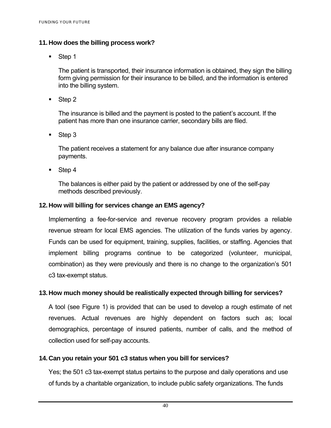#### **11. How does the billing process work?**

■ Step 1

The patient is transported, their insurance information is obtained, they sign the billing form giving permission for their insurance to be billed, and the information is entered into the billing system.

■ Step 2

The insurance is billed and the payment is posted to the patient's account. If the patient has more than one insurance carrier, secondary bills are filed.

■ Step 3

The patient receives a statement for any balance due after insurance company payments.

■ Step 4

The balances is either paid by the patient or addressed by one of the self-pay methods described previously.

#### **12. How will billing for services change an EMS agency?**

Implementing a fee-for-service and revenue recovery program provides a reliable revenue stream for local EMS agencies. The utilization of the funds varies by agency. Funds can be used for equipment, training, supplies, facilities, or staffing. Agencies that implement billing programs continue to be categorized (volunteer, municipal, combination) as they were previously and there is no change to the organization's 501 c3 tax-exempt status.

#### **13. How much money should be realistically expected through billing for services?**

A tool (see Figure 1) is provided that can be used to develop a rough estimate of net revenues. Actual revenues are highly dependent on factors such as; local demographics, percentage of insured patients, number of calls, and the method of collection used for self-pay accounts.

#### **14. Can you retain your 501 c3 status when you bill for services?**

Yes; the 501 c3 tax-exempt status pertains to the purpose and daily operations and use of funds by a charitable organization, to include public safety organizations. The funds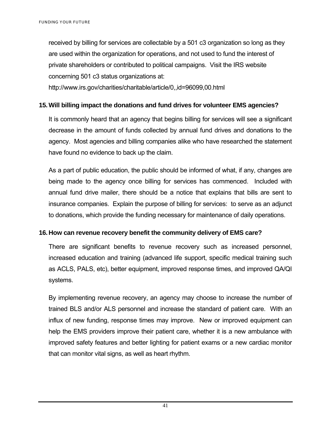received by billing for services are collectable by a 501 c3 organization so long as they are used within the organization for operations, and not used to fund the interest of private shareholders or contributed to political campaigns. Visit the IRS website concerning 501 c3 status organizations at:

http://www.irs.gov/charities/charitable/article/0,,id=96099,00.html

#### **15. Will billing impact the donations and fund drives for volunteer EMS agencies?**

It is commonly heard that an agency that begins billing for services will see a significant decrease in the amount of funds collected by annual fund drives and donations to the agency. Most agencies and billing companies alike who have researched the statement have found no evidence to back up the claim.

As a part of public education, the public should be informed of what, if any, changes are being made to the agency once billing for services has commenced. Included with annual fund drive mailer, there should be a notice that explains that bills are sent to insurance companies. Explain the purpose of billing for services: to serve as an adjunct to donations, which provide the funding necessary for maintenance of daily operations.

#### **16. How can revenue recovery benefit the community delivery of EMS care?**

There are significant benefits to revenue recovery such as increased personnel, increased education and training (advanced life support, specific medical training such as ACLS, PALS, etc), better equipment, improved response times, and improved QA/QI systems.

By implementing revenue recovery, an agency may choose to increase the number of trained BLS and/or ALS personnel and increase the standard of patient care. With an influx of new funding, response times may improve. New or improved equipment can help the EMS providers improve their patient care, whether it is a new ambulance with improved safety features and better lighting for patient exams or a new cardiac monitor that can monitor vital signs, as well as heart rhythm.

41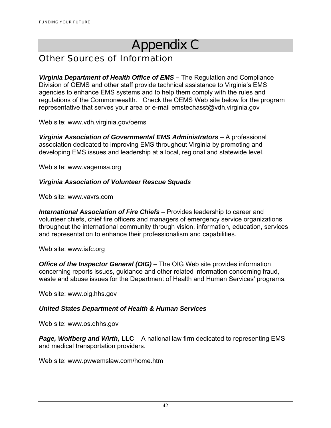# Appendix C

## Other Sources of Information

*Virginia Department of Health Office of EMS –* The Regulation and Compliance Division of OEMS and other staff provide technical assistance to Virginia's EMS agencies to enhance EMS systems and to help them comply with the rules and regulations of the Commonwealth. Check the OEMS Web site below for the program representative that serves your area or e-mail emstechasst@vdh.virginia.gov

Web site: www.vdh.virginia.gov/oems

*Virginia Association of Governmental EMS Administrators* – A professional association dedicated to improving EMS throughout Virginia by promoting and developing EMS issues and leadership at a local, regional and statewide level.

Web site: www.vagemsa.org

#### *Virginia Association of Volunteer Rescue Squads*

Web site: www.vavrs.com

*International Association of Fire Chiefs* – Provides leadership to career and volunteer chiefs, chief fire officers and managers of emergency service organizations throughout the international community through vision, information, education, services and representation to enhance their professionalism and capabilities.

Web site: www.iafc.org

*Office of the Inspector General (OIG)* – The OIG Web site provides information concerning reports issues, guidance and other related information concerning fraud, waste and abuse issues for the Department of Health and Human Services' programs.

Web site: www.oig.hhs.gov

#### *United States Department of Health & Human Services*

Web site: www.os.dhhs.gov

*Page, Wolfberg and Wirth,* **LLC** – A national law firm dedicated to representing EMS and medical transportation providers.

Web site: www.pwwemslaw.com/home.htm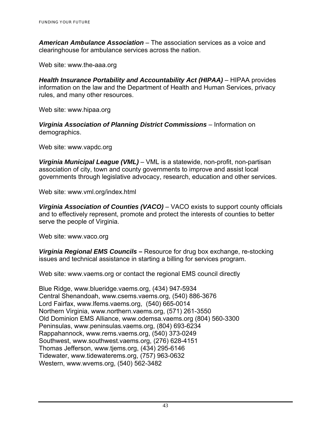*American Ambulance Association* – The association services as a voice and clearinghouse for ambulance services across the nation.

Web site: www.the-aaa.org

*Health Insurance Portability and Accountability Act (HIPAA)* – HIPAA provides information on the law and the Department of Health and Human Services, privacy rules, and many other resources.

Web site: www.hipaa.org

*Virginia Association of Planning District Commissions* – Information on demographics.

Web site: www.vapdc.org

*Virginia Municipal League (VML)* – VML is a statewide, non-profit, non-partisan association of city, town and county governments to improve and assist local governments through legislative advocacy, research, education and other services.

Web site: www.vml.org/index.html

*Virginia Association of Counties (VACO)* – VACO exists to support county officials and to effectively represent, promote and protect the interests of counties to better serve the people of Virginia.

Web site: www.vaco.org

*Virginia Regional EMS Councils* **–** Resource for drug box exchange, re-stocking issues and technical assistance in starting a billing for services program.

Web site: www.vaems.org or contact the regional EMS council directly

Blue Ridge, www.blueridge.vaems.org, (434) 947-5934 Central Shenandoah, www.csems.vaems.org, (540) 886-3676 Lord Fairfax, www.lfems.vaems.org, (540) 665-0014 Northern Virginia, www.northern.vaems.org, (571) 261-3550 Old Dominion EMS Alliance, www.odemsa.vaems.org (804) 560-3300 Peninsulas, www.peninsulas.vaems.org, (804) 693-6234 Rappahannock, www.rems.vaems.org, (540) 373-0249 Southwest, www.southwest.vaems.org, (276) 628-4151 Thomas Jefferson, www.tjems.org, (434) 295-6146 Tidewater, www.tidewaterems.org, (757) 963-0632 Western, www.wvems.org, (540) 562-3482